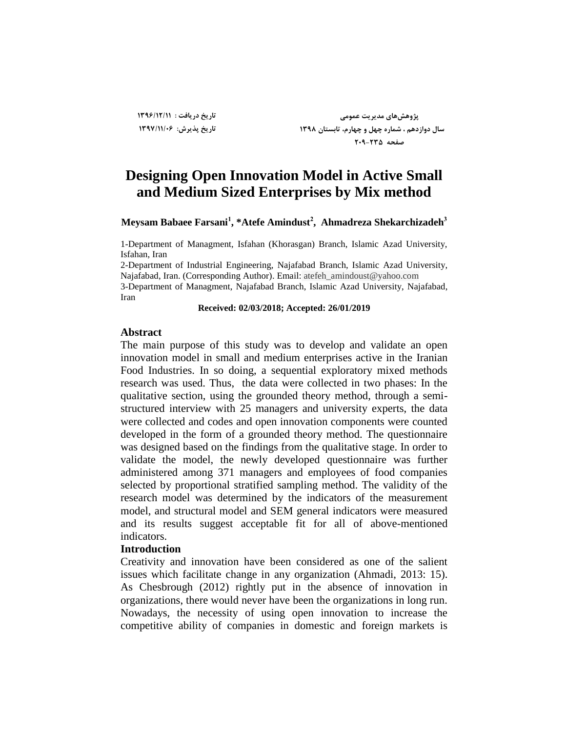**تارید زریافت : 1396/12/11 تارید پذیزش: 1397/11/06**

**پژٍّصّای هسیزیت عوَهی سال زٍاسزّن ، ضوارُ چْل ٍ چْارم، تاتستاى 1398 صفحِ 209-235**

# **Designing Open Innovation Model in Active Small and Medium Sized Enterprises by Mix method**

**Meysam Babaee Farsani<sup>1</sup> , \*Atefe Amindust<sup>2</sup> , Ahmadreza Shekarchizadeh<sup>3</sup>**

1-Department of Managment, Isfahan (Khorasgan) Branch, Islamic Azad University, Isfahan, Iran

2-Department of Industrial Engineering, Najafabad Branch, Islamic Azad University, Najafabad, Iran. (Corresponding Author). Email: atefeh\_amindoust@yahoo.com

3-Department of Managment, Najafabad Branch, Islamic Azad University, Najafabad, Iran

#### **Received: 02/03/2018; Accepted: 26/01/2019**

#### **Abstract**

The main purpose of this study was to develop and validate an open innovation model in small and medium enterprises active in the Iranian Food Industries. In so doing, a sequential exploratory mixed methods research was used. Thus, the data were collected in two phases: In the qualitative section, using the grounded theory method, through a semistructured interview with 25 managers and university experts, the data were collected and codes and open innovation components were counted developed in the form of a grounded theory method. The questionnaire was designed based on the findings from the qualitative stage. In order to validate the model, the newly developed questionnaire was further administered among 371 managers and employees of food companies selected by proportional stratified sampling method. The validity of the research model was determined by the indicators of the measurement model, and structural model and SEM general indicators were measured and its results suggest acceptable fit for all of above-mentioned indicators.

#### **Introduction**

Creativity and innovation have been considered as one of the salient issues which facilitate change in any organization (Ahmadi, 2013: 15). As Chesbrough (2012) rightly put in the absence of innovation in organizations, there would never have been the organizations in long run. Nowadays, the necessity of using open innovation to increase the competitive ability of companies in domestic and foreign markets is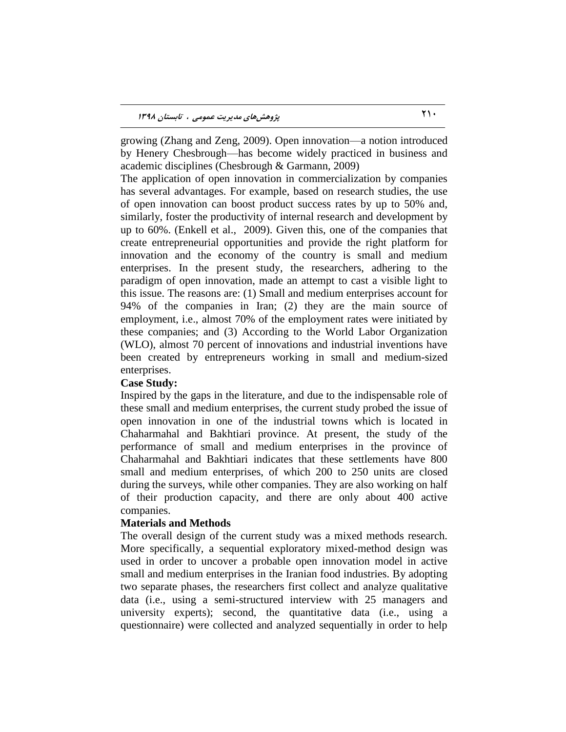growing (Zhang and Zeng, 2009). Open innovation—a notion introduced by Henery Chesbrough—has become widely practiced in business and academic disciplines (Chesbrough & Garmann, 2009)

The application of open innovation in commercialization by companies has several advantages. For example, based on research studies, the use of open innovation can boost product success rates by up to 50% and, similarly, foster the productivity of internal research and development by up to 60%. (Enkell et al., 2009). Given this, one of the companies that create entrepreneurial opportunities and provide the right platform for innovation and the economy of the country is small and medium enterprises. In the present study, the researchers, adhering to the paradigm of open innovation, made an attempt to cast a visible light to this issue. The reasons are: (1) Small and medium enterprises account for 94% of the companies in Iran; (2) they are the main source of employment, i.e., almost 70% of the employment rates were initiated by these companies; and (3) According to the World Labor Organization (WLO), almost 70 percent of innovations and industrial inventions have been created by entrepreneurs working in small and medium-sized enterprises.

## **Case Study:**

Inspired by the gaps in the literature, and due to the indispensable role of these small and medium enterprises, the current study probed the issue of open innovation in one of the industrial towns which is located in Chaharmahal and Bakhtiari province. At present, the study of the performance of small and medium enterprises in the province of Chaharmahal and Bakhtiari indicates that these settlements have 800 small and medium enterprises, of which 200 to 250 units are closed during the surveys, while other companies. They are also working on half of their production capacity, and there are only about 400 active companies.

## **Materials and Methods**

The overall design of the current study was a mixed methods research. More specifically, a sequential exploratory mixed-method design was used in order to uncover a probable open innovation model in active small and medium enterprises in the Iranian food industries. By adopting two separate phases, the researchers first collect and analyze qualitative data (i.e., using a semi-structured interview with 25 managers and university experts); second, the quantitative data (i.e., using a questionnaire) were collected and analyzed sequentially in order to help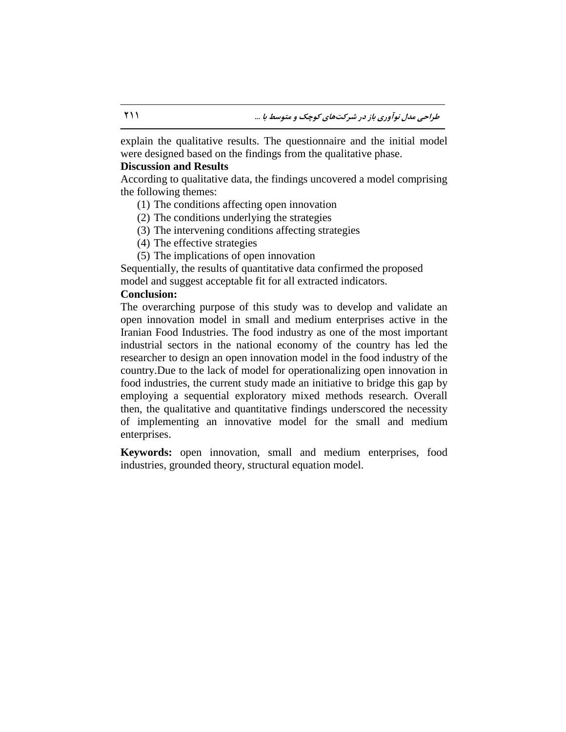explain the qualitative results. The questionnaire and the initial model were designed based on the findings from the qualitative phase.

## **Discussion and Results**

According to qualitative data, the findings uncovered a model comprising the following themes:

- (1) The conditions affecting open innovation
- (2) The conditions underlying the strategies
- (3) The intervening conditions affecting strategies
- (4) The effective strategies
- (5) The implications of open innovation

Sequentially, the results of quantitative data confirmed the proposed model and suggest acceptable fit for all extracted indicators.

## **Conclusion:**

The overarching purpose of this study was to develop and validate an open innovation model in small and medium enterprises active in the Iranian Food Industries. The food industry as one of the most important industrial sectors in the national economy of the country has led the researcher to design an open innovation model in the food industry of the country.Due to the lack of model for operationalizing open innovation in food industries, the current study made an initiative to bridge this gap by employing a sequential exploratory mixed methods research. Overall then, the qualitative and quantitative findings underscored the necessity of implementing an innovative model for the small and medium enterprises.

**Keywords:** open innovation, small and medium enterprises, food industries, grounded theory, structural equation model.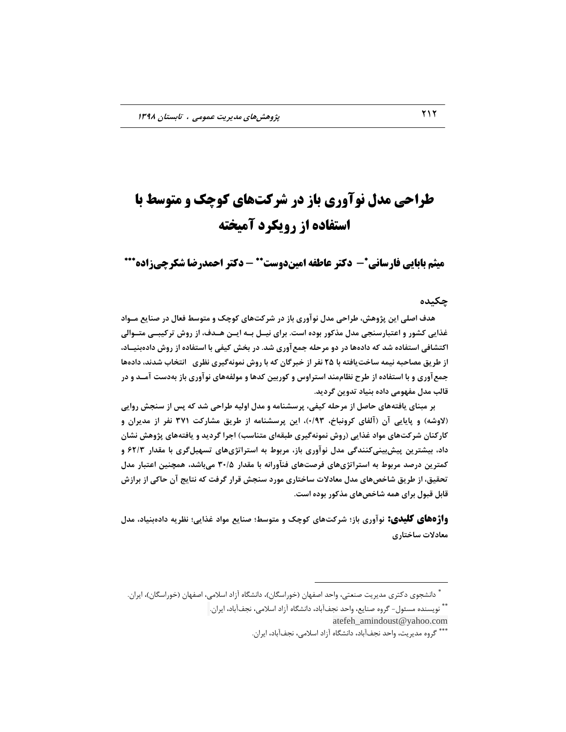# **طراحی مذل نوآوری باز در شرکتهای کوچک و متوسط با استفاده از رویکرد آمیخته**

**میثم بابایی فارسانی\*- دکتر عاطفه امیندوست\*\* - دکتر احمدرضا شکرچیزاده\*\*\*** 

#### **چکیسُ**

**ّسف اصلی ایي پژٍّص، طزاحی هسل ًَآٍری تاس زر ضزکتّای کَچک ٍ هتَسط فعال زر صٌایع هوَاز غذایی کطَر ٍ اعتثارسٌجی هسل هذکَر تَزُ است. تزای ًیول توِ ایوي ّوسف، اس رٍش تزکیثوی هتوَا ی**  اکتشافی استفاده شد که دادهها در دو مرحله جمع آوری شد. در بخش کیفی با استفاده از روش دادهبنیــاد، از طریق مصاحبه نیمه ساخت یافته با ۲۵ نفر از خبرگان که با روش نمونهگیری نظری انتخاب شدند، دادهها جمع آوری و با استفاده از طرح نظاممند استراوس و کوربین کدها و مولفههای نوآوری باز بهدست آمــد و در قالب مدل مفهومي داده بنياد تدوين گرديد.

**بر مبنای یافتههای حاصل از مرحله کیفی، پر**سشنامه و مدل اولیه طراحی شد که پس از سنجش روایی (لاوشه) و پایایی آن (آلفای کرونباخ، ۰/۹۳)، این پرسشنامه از طریق مشارکت ۳۷۱ نفر از مدیران و کارکنان شرکتهای مواد غذایی (روش نمونهگیری طبقهای متناسب) اجرا گردید و یافتههای پژوهش نشان **زاز، تیطتزیي پیصتیٌیکٌٌسگی هسل ًَآٍری تاس، هزتَط تِ استزاتژیّای تسْیلگزی تا هقسار 62/3 ٍ کوتزیي زرصس هزتَط تِ استزاتژیّای فزصتّای فٌآٍراًِ تا هقسار 30/5 هیتاضس، ّوچٌیي اعتثار هسل**  تحقیق، از طریق شاخصهای مدل معادلات ساختاری مورد سنجش قرار گرفت که نتایج آن حاکی از برازش قابل قبول برای همه شاخصهای مذکور بوده است.

**واژههای کلیذی: ًَآٍری تاس؛ ضزکتّای کَچک ٍ هتَسط؛ صٌایع هَاز غذایی؛ ًظزیِ زازُتٌیاز، هسل هعازالت ساذتاری**

 $\overline{a}$ 

<sup>\*</sup> دانشجوی دکتری مدیریت صنعتی، واحد اصفهان (خوراسگان)، دانشگاه آزاد اسلامی، اصفهان (خوراسگان)، ایران.

<sup>\*\*</sup> نویسنده مسئول- گروه صنایع، واحد نجفآباد، دانشگاه آزاد اسلامی، نجفآباد، ایران. atefeh\_amindoust@yahoo.com

<sup>\*\*\*</sup> گروه مدیریت، واحد نجفآباد، دانشگاه آزاد اسلامی، نجفآباد، ایران.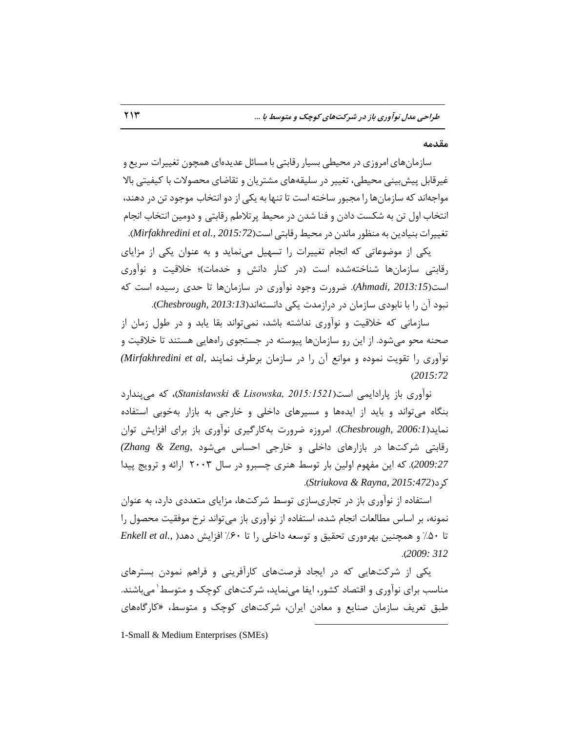**هقسهِ** 

سازمانهای امروزی در محیطی بسیار رقابتی با مسائل عدیدهای همچون تغییرات سریع و غیرقابل پیشبینی محیطی، تغییر در سلیقههای مشتریان و تقاضای محصولات با کیفیتی بالا مواجهاند که سازمانها را مجبور ساخته است تا تنها به یکی از دو انتخاب موجود تن در دهند، انتخاب اول تن به شکست دادن و فنا شدن در محیط پر تلاطم رقابتی و دومین انتخاب انجام تغییرات بنیادین به منظور ماندن در محیط رقابتی است(2015:72 *.Mirfakhredini et al., 2015)*.

یکی از موضوعاتی که انجام تغییرات را تسهیل می نماید و به عنوان یکی از مزایای رقابتی سازمانها شناختهشده است (در کنار دانش و خدمات)؛ خلاقیت و نوآوری است(Ahmadi, 2013:15). ضرورت وجود نوآوری در سازمانها تا حدی رسیده است که نبود آن را با نابودی سازمان در درازمدت یکی دانستهاند(Chesbrough, 2013:13).

سازمانی که خلاقیت و نوآوری نداشته باشد، نمی تواند بقا یابد و در طول زمان از صحنه محو می شود. از این رو سازمانها پیوسته در جستجوی راههایی هستند تا خلاقیت و زمآوری را تقویت نموده و موانع آن را در سازمان برطرف نمایند *,Mirfakhredini et al* ( )*2015:72*

نوآوری باز یارادایمی است(*2015:1521 ,Stanisławski & Lisowska*)، که می بندارد بنگاه می تواند و باید از ایدهها و مسیرهای داخلی و خارجی به بازار بهخوبی استفاده نماید(Chesbrough, 2006:1). امروزه ضرورت بهکارگیری نوآوری باز برای افزایش توان رقابتی شرکتها در بازارهای داخلی و خارجی احساس می شود *,Zhang & Zeng* 2009:27). که این مفهوم اولین بار توسط هنری چسبرو در سال ۲۰۰۳ ارائه و ترویج پیدا .)*Striukova & Rayna, 2015:472*(وطز

استفاده از نوآوری باز در تجاریسازی توسط شرکتها، مزایای متعددی دارد، به عنوان نمونه، بر اساس مطالعات انجام شده، استفاده از نوآوری باز می تواند نرخ موفقیت محصول را تا ۵۰٪ و همچنین بهرهوری تحقیق و توسعه داخلی را تا ۶۰٪ افزایش دهد*(, Enkell et al* .)*2009: 312*

یکی از شرکتهایی که در ایجاد فرصتهای کارآفرینی و فراهم نمودن بسترهای مناسب برای نوآوری و اقتصاد کشور، ایفا مینماید، شرکتهای کوچک و متوسط`میباشند. طبق تعریف سازمان صنایع و معادن ایران، شركتهای كوچک و متوسط، «كارگاههای

 $\overline{a}$ 

1-Small & Medium Enterprises (SMEs)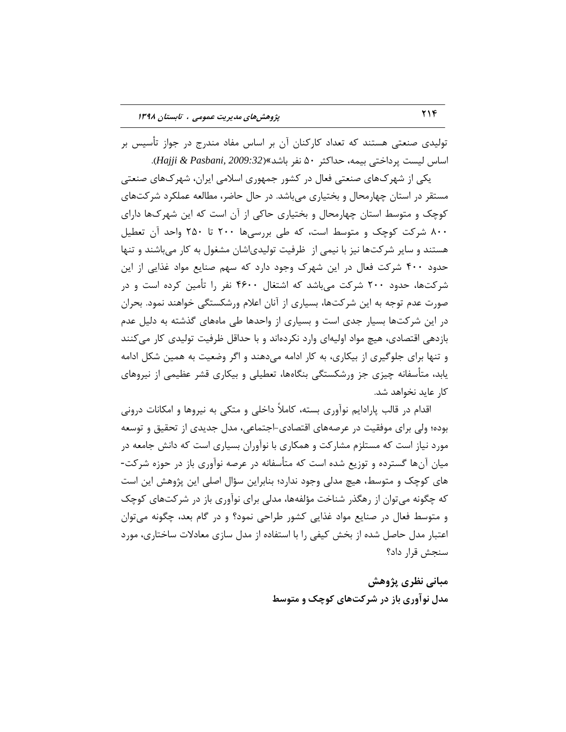تولیدی صنعتی هستند که تعداد کارکنان آن بر اساس مفاد مندرج در جواز تأسیس بر اساس لیست پرداختی بیمه، حداکثر ۵۰ نفر باشد»(Hajji & Pasbani, 2009:32).

یکی از شهرک&ای صنعتی فعال در کشور جمهوری اسلامی ایران، شهرکهای صنعتی مستقر در استان چهارمحال و بختیاری می باشد. در حال حاضر، مطالعه عملکرد شرکتهای کوچک و متوسط استان چهارمحال و بختیاری حاکی از آن است که این شهر کها دارای ۸۰۰ شرکت کوچک و متوسط است، که طی بررسیها ۲۰۰ تا ۲۵۰ واحد آن تعطیل هستند و سایر شرکتها نیز با نیمی از ظرفیت تولیدیاشان مشغول به کار می باشند و تنها حدود ۴۰۰ شرکت فعال در این شهرک وجود دارد که سهم صنایع مواد غذایی از این شرکتها، حدود ۲۰۰ شرکت میباشد که اشتغال ۴۶۰۰ نفر را تأمین کرده است و در صورت عدم توجه به این شرکتها، بسیاری از آنان اعلام ورشکستگی خواهند نمود. بحران در این شرکتها بسیار جدی است و بسیاری از واحدها طی ماههای گذشته به دلیل عدم بازدهی اقتصادی، هیچ مواد اولیهای وارد نکردهاند و با حداقل ظرفیت تولیدی کار می کنند و تنها برای جلوگیری از بیکاری، به کار ادامه می۵هند و اگر وضعیت به همین شکل ادامه یابد، متأسفانه چیزی جز ورشکستگی بنگاهها، تعطیلی و بیکاری قشر عظیمی از نیروهای کار عاید نخواهد شد.

اقدام در قالب پارادایم نوآوری بسته، کاملاً داخلی و متکی به نیروها و امکانات درونی بوده؛ ولی برای موفقیت در عرصههای اقتصادی-اجتماعی، مدل جدیدی از تحقیق و توسعه مورد نیاز است كه مستلزم مشاركت و همكاری با نوآوران بسیاری است كه دانش جامعه در ٔ میان آنها گسترده و توزیع شده است که متأسفانه در عرصه نوآوری باز در حوزه شرکت-های کوچک و متوسط، هیچ مدلی وجود ندارد؛ بنابراین سؤال اصلی این پژوهش این است که چگونه می توان از رهگذر شناخت مؤلفهها، مدلی برای نوآوری باز در شرکتهای کوچک و متوسط فعال در صنایع مواد غذایی کشور طراحی نمود؟ و در گام بعد، چگونه میتوان اعتبار مدل حاصل شده از بخش کیفی را با استفاده از مدل سازی معادلات ساختاری، مورد سنجش قرار داد؟

> هبانی نظری پژوهش **هسل ًَآٍری تاس زر ضزکتّای کَچک ٍ هتَسط**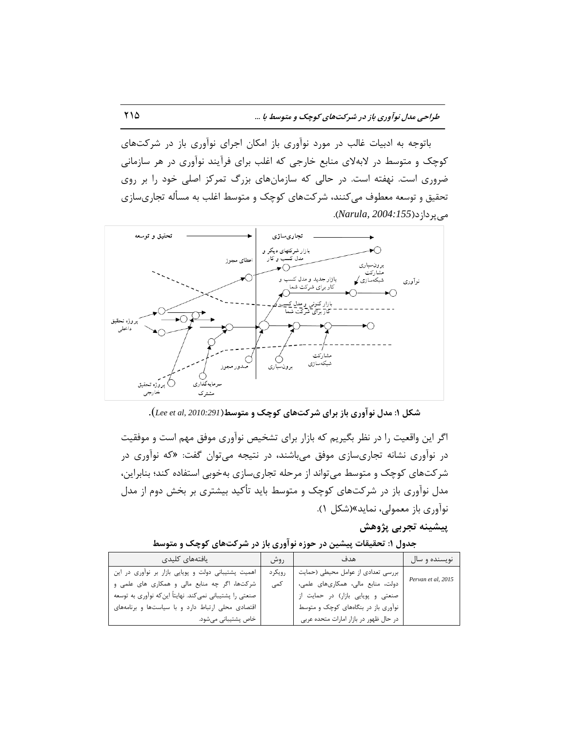باتوجه به ادبیات غالب در مورد نوآوری باز امکان اجرای نوآوری باز در شرکتهای کوچک و متوسط در لابهلای منابع خارجی که اغلب برای فرآیند نوآوری در هر سازمانی ضروری است. نهفته است. در حالی که سازمانهای بزرگ تمرکز اصلی خود را بر روی تحقیق و توسعه معطوف میکنند، شرکتهای کوچک و متوسط اغلب به مسأله تجاریسازی ٔیپطزاظز)*2004:155 ,Narula*).



**ضکل :1 هسل ًَآٍری تاس تزای ضزکتّای کَچک ٍ هتَسط**)*2010:291 ,al et Lee*).

اگر این واقعیت را در نظر بگیریم كه بازار برای تشخیص نوآوری موفق مهم است و موفقیت در نوآوری نشانه تجاریسازی موفق میباشند، در نتیجه میتوان گفت: «كه نوآوری در شرکتهای کوچک و متوسط می تواند از مرحله تجاریسازی بهخوبی استفاده کند؛ بنابراین، مدل نوآوری باز در شرکتهای کوچک و متوسط باید تأکید بیشتری بر بخش دوم از مدل نوآوری باز معمولی، نماید»(شکل ۱).

## **پیطیٌِ تجزتی پژٍّص**

**جسٍل :1 تحقیقات پیطیي زر حَسُ ًَآٍری تاس زر ضزکتّای کَچک ٍ هتَسط**

| يافتههاى كليدى                                          | روش     | هدف                                    | نويسنده و سال      |
|---------------------------------------------------------|---------|----------------------------------------|--------------------|
| اهمیت پشتیبانی دولت و پویایی بازار بر نوآوری در این     | رویکر د | بررسی تعدادی از عوامل محیطی (حمایت     | Pervan et al, 2015 |
| شرکتها، اگر چه منابع مالی و همکاری های علمی و           | کمی     | دولت، منابع مالي، همكارىهاى علمى،      |                    |
| صنعتی را پشتیبانی نمیکند. نهایتاً اینکه نوآوری به توسعه |         | صنعتی و پویایی بازار) در حمایت از      |                    |
| اقتصادی محلی ارتباط دارد و با سیاستها و برنامههای       |         | نوآوری باز در بنگاههای کوچک و متوسط    |                    |
| خاص پشتیبانی میشود.                                     |         | در حال ظهور در بازار امارات متحده عربی |                    |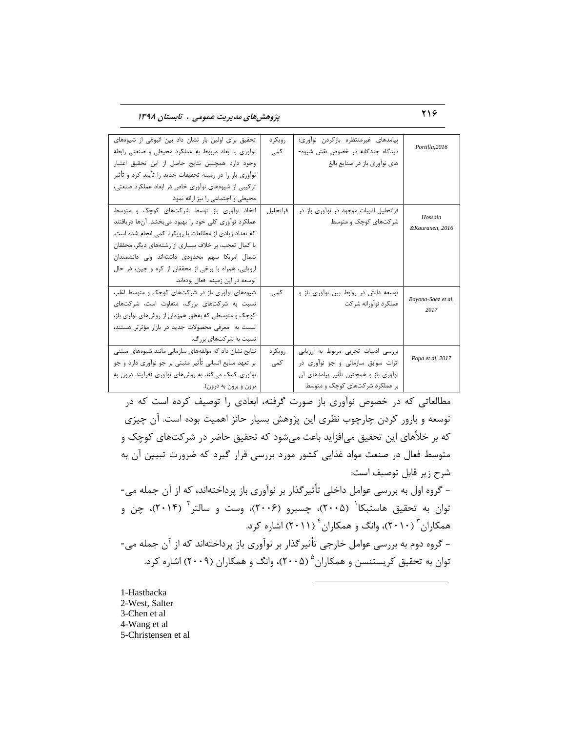216 **پژٍّصّای هسیزیت عوَهی ، تاتستاى 1398**

| تحقیق برای اولین بار نشان داد بین انبوهی از شیوههای      | , ویکړ د | پیامدهای غیرمنتظره بازکردن نواوری؛     | Portilla, 2016             |
|----------------------------------------------------------|----------|----------------------------------------|----------------------------|
| نواوری با ابعاد مربوط به عملکرد محیطی و صنعتی رابطه      | کمی      | دیدگاه چندگانه در خصوص نقش شیوه-       |                            |
| وجود دارد همچنین نتایج حاصل از این تحقیق اعتبار          |          | های نوآوری باز در صنایع بالغ           |                            |
| نوآوری باز را در زمینه تحقیقات جدید را تأیید کرد و تأثیر |          |                                        |                            |
| ترکیبی از شیوههای نوآوری خاص در ابعاد عملکرد صنعتی،      |          |                                        |                            |
| محیطی و اجتماعی را نیز ارائه نمود.                       |          |                                        |                            |
| اتخاذ نوآوری باز توسط شرکتهای کوچک و متوسط               | فراتحليل | فراتحلیل ادبیات موجود در نواوری باز در |                            |
| عملکرد نوآوری کلی خود را بهبود میبخشد. آنها دریافتند     |          | شر کتهای کوچک و متوسط                  | Hossain<br>&Kauranen, 2016 |
| که تعداد زیادی از مطالعات با رویکرد کمی انجام شده است.   |          |                                        |                            |
| با کمال تعجب، بر خلاف بسیاری از رشتههای دیگر، محققان     |          |                                        |                            |
| شمال امریکا سهم محدودی داشتهاند ولی دانشمندان            |          |                                        |                            |
| اروپایی، همراه با برخی از محققان از کره و چین، در حال    |          |                                        |                            |
| توسعه در این زمینه فعال بودهاند.                         |          |                                        |                            |
| شیوههای نوآوری باز در شرکتهای کوچک و متوسط اغلب          | كمى      | توسعه دانش در روابط بین نواوری باز و   |                            |
| نسبت به شرکتهای بزرگ، متفاوت است، شرکتهای                |          | عملکرد نوآورانه شرکت                   | Bayona-Saez et al,         |
| کوچک و متوسطی که بهطور همزمان از روشهای نوآری باز،       |          |                                        | 2017                       |
| نسبت به معرفی محصولات جدید در بازار مؤثرتر هستند،        |          |                                        |                            |
| نسبت به شر کتهای بزرگ.                                   |          |                                        |                            |
| نتایج نشان داد که مؤلفههای سازمانی مانند شیوههای مبتنی   | رویکر د  | بررسی ادبیات تجربی مربوط به ارزیابی    |                            |
| بر تعهد منابع انسانی تأثیر مثبتی بر جو نوآوری دارد و جو  | کمی      | اثرات سوابق سازمانی و جو نوآوری در     | Popa et al, 2017           |
| نوآوری کمک می کند به روشهای نوآوری (فرآیند درون به       |          | نوآوری باز و همچنین تأثیر پیامدهای آن  |                            |
| برون و برون به درون).                                    |          | بر عملکرد شرکتهای کوچک و متوسط         |                            |

مطالعاتی که در خصوص نوآوری باز صورت گرفته، ابعادی را توصیف کرده است که در توسعه و بارور کردن چارچوب نظری این پژوهش بسیار حائز اهمیت بوده است. آن چیزی که بر خلأهای این تحقیق می|فزاید باعث می¢شود که تحقیق حاضر در شرکتهای کوچک و متوسط فعال در صنعت مواد غذایی کشور مورد بررسی قرار گیرد که ضرورت تبیین آن به شرح زیر قابل توصیف است: - گروه اول به بررسی عوامل داخلی تأثیرگذار بر نوآوری باز پرداختهاند، که از آن جمله می-توان به تحقیق هاستبکا<sup>\</sup> (۲۰۰۵)، چسبرو (۲۰۰۶)، وست و سالتر<sup>۲</sup> (۲۰۱۴)، چن و همکاران <sup>۳</sup> (۲۰۱۰)، وانگ و همکاران <sup>۴</sup> (۲۰۱۱) اشاره کرد. - گروه دوم به بررسی عوامل خارجی تأثیرگذار بر نوآوری باز پرداختهاند که از آن جمله می-توان به تحقیق کریستنسن و همکاران  $\left(\mathsf{Y}\cdot\mathsf{a}\right)^{\mathsf{a}}$ ، وانگ و همکاران (۲۰۰۹) اشاره کرد.

 $\overline{a}$ 

1-Hastbacka 2-West, Salter 3-Chen et al 4-Wang et al 5-Christensen et al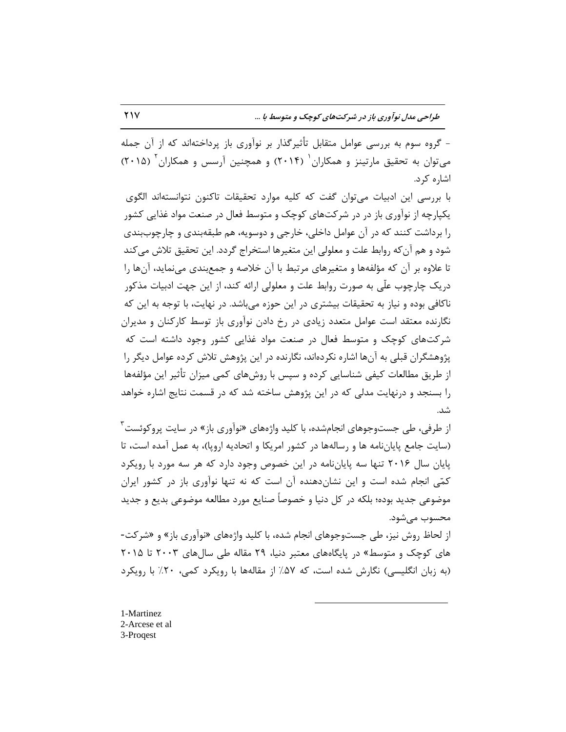- گروه سوم به بررسی عوامل متقابل تأثیرگذار بر نوآوری باز پرداختهاند که از آن جمله میتوان به تحقیق مارتینز و همکاران<sup>٬</sup> (۲۰۱۴) و همچنین آرسس و همکاران<sup>٬</sup> (۲۰۱۵) اشاره کرد.

با بررسی این ادبیات می توان گفت که کلیه موارد تحقیقات تاکنون نتوانستهاند الگوی یکپارچه از نوآوری باز در در شرکتهای کوچک و متوسط فعال در صنعت مواد غذایی کشور را برداشت کنند که در آن عوامل داخلی، خارجی و دوسویه، هم طبقهبندی و چارچوببندی شود و هم آن که روابط علت و معلولی این متغیرها استخراج گردد. این تحقیق تلاش می کند تا علاوه بر آن که مؤلفهها و متغیرهای مرتبط با آن خلاصه و جمعبندی مینماید، آنها را دریک چارچوب علّی به صورت روابط علت و معلولی ارائه کند، از این جهت ادبیات مذکور ناكافی بوده و نیاز به تحقیقات بیشتری در این حوزه میباشد. در نهایت، با توجه به این كه نگارنده معتقد است عوامل متعدد زیادی در رخ دادن نوآوری باز توسط کارکنان و مدیران شرکتهای کوچک و متوسط فعال در صنعت مواد غذایی کشور وجود داشته است که پژوهشگران قبلی به آنها اشاره نکردهاند، نگارنده در این پژوهش تلاش کرده عوامل دیگر را از طریق مطالعات کیفی شناسایی کرده و سپس با روشهای کمی میزان تأثیر این مؤلفهها را بسنجد و درنهایت مدلی که در این پژوهش ساخته شد که در قسمت نتایج اشاره خواهد قس.

از طرفی، طی جستوجوهای انجامشده، با کلید واژههای «نوآوری باز» در سایت پروکوئست<sup>۳</sup> (سایت جامع پایاننامه ها و رسالهها در کشور امریکا و اتحادیه اروپا)، به عمل آمده است، تا پایان سال ۲۰۱۶ تنها سه پایانِ نامه در این خصوص وجود دارد که هر سه مورد با رویکرد كمّی انجام شده است و این نشانِ دهنده آن است كه نه تنها نوآوری باز در كشور ایران موضوعی جدید بوده؛ بلکه در کل دنیا و خصوصاً صنایع مورد مطالعه موضوعی بدیع و جدید محسوب مے شود.

از لحاظ روش نیز، طی جستوجوهای انجام شده، با کلید واژههای «نوآوری باز» و «شرکت-های کوچک و متوسط» در پایگاههای معتبر دنیا، ۲۹ مقاله طی سالهای ۲۰۰۳ تا ۲۰۱۵ (به زبان انگلیسی) نگارش شده است، که ۵۷٪ از مقالهها با رویکرد کمی، ۲۰٪ با رویکرد

 $\overline{a}$ 

1-Martinez 2-Arcese et al 3-Proqest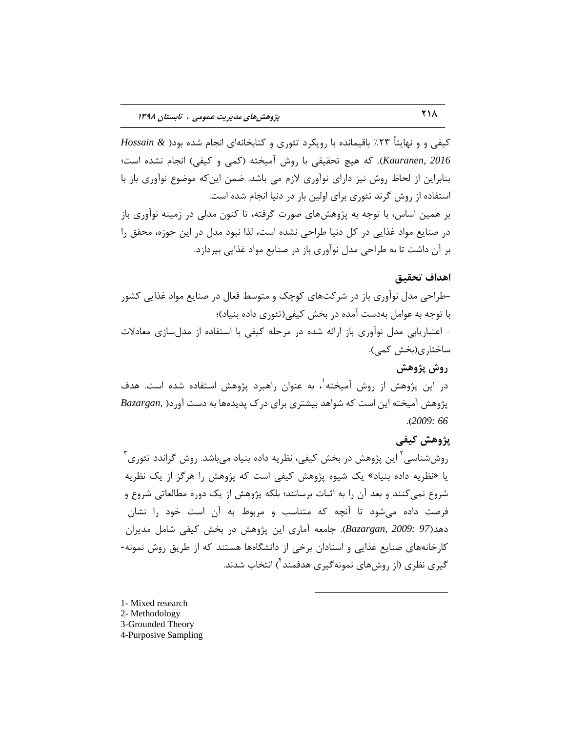کیفی و و نهایتاً ۲۳٪ باقیمانده با رویکرد تئوری و کتابخانهای انجام شده بود( & Hossain Kauranen, 2016). كه هیچ تحقیقی با روش آمیخته (كمی و كیفی) انجام نشده است؛ بنابراین از لحاظ روش نیز دارای نوآوری لازم می باشد. ضمن این که موضوع نوآوری باز با استفاده از روش گرند تئوری برای اولین بار در دنیا انجام شده است. بر همین اساس، با توجه به پژوهشهای صورت گرفته، تا کنون مدلی در زمینه نوآوری باز در صنایع مواد غذایی در كل دنیا طراحی نشده است، لذا نبود مدل در این حوزه، محقق را بر آن داشت تا به طراحی مدل نوآوری باز در صنایع مواد غذایی بیردازد.

#### **اّساف تحقیق**

-طراحی مدل نوآوری باز در شرکتهای کوچک و متوسط فعال در صنایع مواد غذایی کشور با توجه به عوامل بهدست آمده در بخش کیفی(تئوری داده بنیاد)؛ - اعتباریابی مدل نوآوری باز ارائه شده در مرحله کیفی با استفاده از مدلسازی معادلات ساختاری(بخش کمی).

## **رٍش پژٍّص**

در این پژوهش از روش آمیخته`، به عنوان راهبرد پژوهش استفاده شده است. هدف پژوهش آمیخته این است که شواهد بیشتری برای درک پدیدهها به دست آورد( ,Bazargan .)*2009: 66*

## **پژٍّص کیفی**

روششناسی<sup>۲</sup> این پژوهش در بخش کیفی، نظریه داده بنیاد میباشد. روش گراندد تئوری<sup>۳</sup> یا «نظریه داده بنیاد» یک شیوه پژوهش کیفی است که پژوهش را هرگز از یک نظریه شروع نمی کنند و بعد آن را به اثبات برسانند؛ بلکه پژوهش از یک دوره مطالعاتی شروع و فرصت داده میشود تا آنچه که متناسب و مربوط به آن است خود را نشان دهد(97 *:Bazargan, 2009). جامعه* آماری این پژوهش در بخش کیفی شامل مدیران کارخانههای صنایع غذایی و استادان برخی از دانشگاهها هستند که از طریق روش نمونه-گیری نظری (از روشهای نمونهگیری هدفمند<sup>۴</sup>) انتخاب شدند.

 $\overline{a}$ 

1- Mixed research 2- Methodology 3-Grounded Theory 4-Purposive Sampling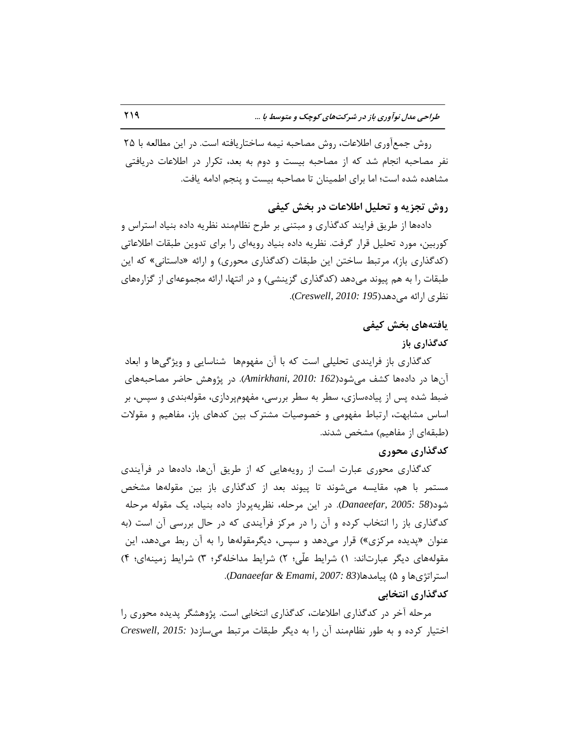روش جمعآوری اطلاعات، روش مصاحبه نیمه ساختاریافته است. در این مطالعه با ۲۵ نفر مصاحبه انجام شد که از مصاحبه بیست و دوم به بعد، تکرار در اطلاعات دریافتی مشاهده شده است؛ اما برای اطمینان تا مصاحبه بیست و پنجم ادامه یافت.

## **رٍش تجشیِ ٍ تحلیل اطالعات زر ترص کیفی**

دادهها از طریق فرایند کدگذاری و مبتنی بر طرح نظاممند نظریه داده بنیاد استراس و کوربین، مورد تحلیل قرار گرفت. نظریه داده بنیاد رویهای را برای تدوین طبقات اطلاعاتی (کدگذاری باز)، مرتبط ساختن این طبقات (کدگذاری محوری) و ارائه «داستانی» که این طبقات را به هم پیوند میدهد (كدگذاری گزینشی) و در انتها، ارائه مجموعهای از گزارههای ٘ظطی اضائٝ ٔیزٞس)*195 2010: ,Creswell*).

## **یافتِّای ترص کیفی**

## **کسگذاری تاس**

کدگذاری باز فرایندی تحلیلی است که با آن مفهومها شناسایی و ویژگیها و ابعاد آنها در دادهها کشف می شود(*162 :Amirkhani, 2010*). در پژوهش حاضر مصاحبههای ضبط شده پس از پیادهسازی، سطر به سطر بررسی، مفهومپردازی، مقولهبندی و سپس، بر اساس مشابهت، ارتباط مفهومی و خصوصیات مشترک بین کدهای باز، مفاهیم و مقولات (طبقهای از مفاهیم) مشخص شدند.

#### **کسگذاری هحَری**

کدگذاری محوری عبارت است از رویههایی که از طریق آنها، دادهها در فرآیندی مستمر با هم، مقایسه میشوند تا پیوند بعد از کدگذاری باز بین مقولهها مشخص شود(58 *:Danaeefar, 2005*). در این مرحله، نظریهپرداز داده بنیاد، یک مقوله مرحله کدگذاری باز را انتخاب کرده و آن را در مرکز فرآیندی که در حال بررسی آن است (به عنوان «پدیده مرکزی») قرار میدهد و سپس، دیگرمقولهها را به آن ربط میدهد، این مقولههای دیگر عبارتاند: ۱) شرایط علّی؛ ۲) شرایط مداخلهگر؛ ۳) شرایط زمینهای؛ ۴) استراتژیها و ۵) پیامدها(83 :Danaeefar & Emami, 2007).

## **کسگذاری اًتراتی**

مرحله آخر در کدگذاری اطلاعات، کدگذاری انتخابی است. پژوهشگر پدیده محوری را اختیار کرده و به طور نظاممند آن را به دیگر طبقات مرتبط می سازد( *Creswell, 2015:* )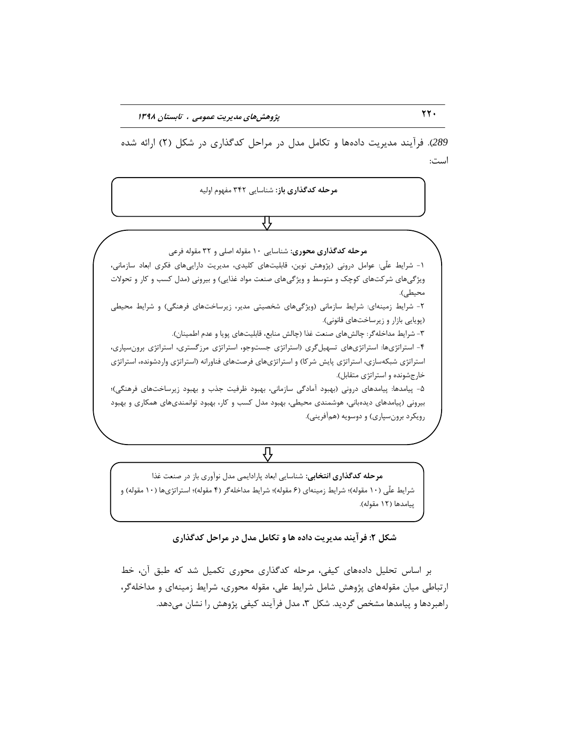289). فرآیند مدیریت دادهها و تکامل مدل در مراحل کدگذاری در شکل (٢) ارائه شده است:

ه**ر حله کدگذاری باز**: شناسایی ۳۴۲ مفهوم اولیه

## ſì

ه**رحله کدگذاری محوری:** شناسایی ۱۰ مقوله اصلی و ۳۲ مقوله فرعی

1- شرایط علّی: عوامل درونی (پژوهش نوین، قابلیتهای کلیدی، مدیریت داراییهای فکری ابعاد سازمانی، ویژگیهای شرکتهای کوچک و متوسط و ویژگیهای صنعت مواد غذایی) و بیرونی (مدل کسب و کار و تحولات محیطی).

۲- شرایط زمینهای: شرایط سازمانی (ویژگیهای شخصیتی مدیر، زیرساختهای فرهنگی) و شرایط محیطی (پویایی بازار و زیرساختهای قانونی).

۳- شرایط مداخله گر: چالش های صنعت غذا (چالش منابع، قابلیتهای پویا و عدم اطمینان).

۴- استراتژیها: استراتژیهای تسهیلگری (استراتژی جستوجو، استراتژی مرزگستری، استراتژی برونسپاری، استراتژی شبکهسازی، استراتژی پایش شرکا) و استراتژیهای فرصتهای فناورانه (استراتژی واردشونده، استراتژی خارجشونده و استراتژی متقابل).

۰۵ پیامدها: پیامدهای درونی (بهبود آمادگی سازمانی، بهبود ظرفیت جذب و بهبود زیرساختهای فرهنگی)؛ بیرونی (پیامدهای دیدهبانی، هوشمندی محیطی، بهبود مدل کسب و کار، بهبود توانمندیهای همکاری و بهبود رویکرد برونسپاری) و دوسویه (همآفرینی).

⇩

هرحله کدگذاری انتخابی: شناسایی ابعاد پارادایمی مدل نوآوری باز در صنعت غذا شرایط علّی (۱۰ مقوله)؛ شرایط زمینهای (۶ مقوله)؛ شرایط مداخلهگر (۴ مقوله)؛ استراتژیها (۱۰ مقوله) و پیامدها (۱۲ مقوله).

**ضکل :2 فزآیٌس هسیزیت زازُ ّا ٍ تکاهل هسل زر هزاحل کسگذاری**

بر اساس تحلیل دادههای کیفی، مرحله کدگذاری محوری تکمیل شد که طبق آن، خط ارتباطی میان مقولههای پژوهش شامل شرایط علی، مقوله محوری، شرایط زمینهای و مداخلهگر، راهبردها و پیامدها مشخص گردید. شكل ۳، مدل فرآیند كیفی پژوهش را نشان میدهد.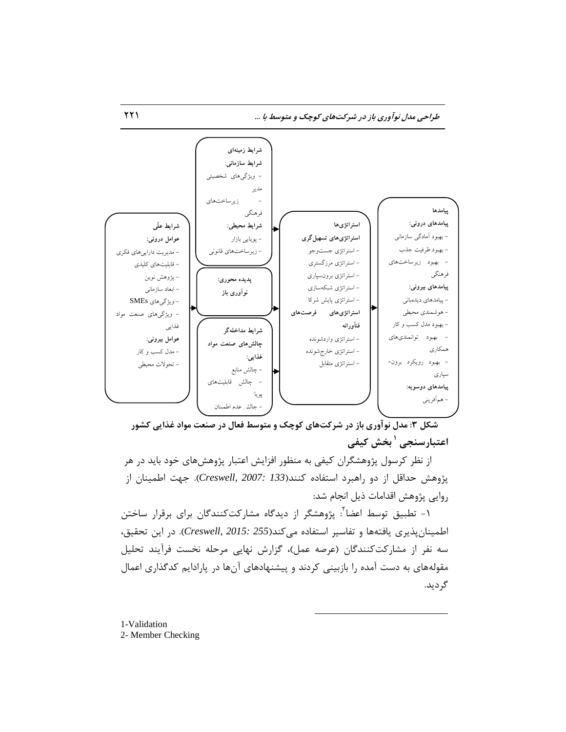طراحی مدل نوآوری باز در شرکتهای کوچک و متوسط با ...



شکل ۳: مدل نوآوری باز در شرکتهای کوچک و متوسط فعال در صنعت مواد غذایی کشور **ترص کیفی <sup>1</sup> اعتثارسٌجی** 

از نظر کرسول پژوهشگران کیفی به منظور افزایش اعتبار پژوهش۵مای خود باید در هر پژوهش حداقل از دو راهبرد استفاده کنند(Creswell, 2007: 133). جهت اطمینان از روایی پژوهش اقدامات ذیل انجام شد:

۱- تطبیق توسط اعضا<sup>۲</sup>: پژوهشگر از دیدگاه مشارکتکنندگان برای برقرار ساختن اطمینانپذیری یافتهها و تفاسیر استفاده می كند(Creswell, 2015: 255). در این تحقیق، سه نفر از مشارکتکنندگان (عرصه عمل)، گزارش نهایی مرحله نخست فرآیند تحلیل مقولههای به دست آمده را بازبینی کردند و پیشنهادهای آنها در پارادایم کدگذاری اعمال گردید.

 $\overline{a}$ 

1-Validation 2- Member Checking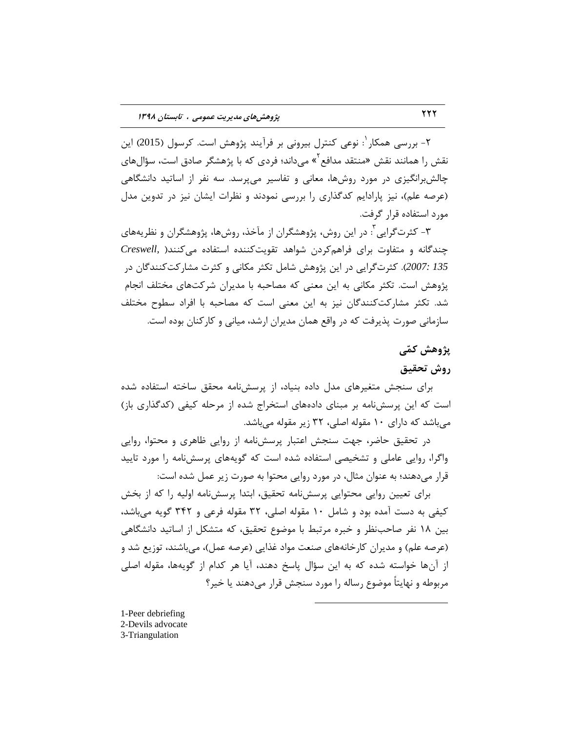۲- بررسی همکار <sup>۱</sup>: نوعی کنترل بیرونی بر فرآیند پژوهش است. کرسول (2015) این نقش را همانند نقش «منتقد مدافع<sup>۲</sup>» میداند؛ فردی که با پژهشگر صادق است، سؤالهای چالش برانگیزی در مورد روشها، معانی و تفاسیر میپرسد. سه نفر از اساتید دانشگاهی (عرصه علم)، نیز پارادایم کدگذاری را بررسی نمودند و نظرات ایشان نیز در تدوین مدل مورد استفاده قرار گرفت.

۳- کثرتگرایی ّٔ: در این روش، پژوهشگران از مآخذ، روشها، پژوهشگران و نظریههای چندگانه و متفاوت برای فراهم کردن شواهد تقویت کننده استفاده می کنند( ,Creswell 135 *:2007). كثرت گر*ایی در این پژوهش شامل تكثر مكانی و كثرت مشاركتكنندگان در پژوهش است. تکثر مکانی به این معنی که مصاحبه با مدیران شرکتهای مختلف انجام شد. تكثر مشاركتكنندگان نیز به این معنی است كه مصاحبه با افراد سطوح مختلف سازمانی صورت پذیرفت که در واقع همان مدیران ارشد، میانی و کارکنان بوده است.

## **پژٍّص کوّی**

## **رٍش تحقیق**

برای سنجش متغیرهای مدل داده بنیاد، از پرسش نامه محقق ساخته استفاده شده است که این پرسشنامه بر مبنای دادههای استخراج شده از مرحله کیفی (کدگذاری باز) میباشد که دارای ۱۰ مقوله اصلی، ۳۲ زیر مقوله میباشد.

در تحقیق حاضر، جهت سنجش اعتبار پرسشنامه از روایی ظاهری و محتوا، روایی واگرا، روایی عاملی و تشخیصی استفاده شده است كه گویههای پرسشنامه را مورد تایید قرار میدهند؛ به عنوان مثال، در مورد روایی محتوا به صورت زیر عمل شده است:

برای تعیین روایی محتوایی پرسشنامه تحقیق، ابتدا پرسشنامه اولیه را که از بخش کیفی به دست آمده بود و شامل ۱۰ مقوله اصلی، ۳۲ مقوله فرعی و ۳۴۲ گویه میباشد، بین ۱۸ نفر صاحبنظر و خبره مرتبط با موضوع تحقیق، كه متشكل از اساتید دانشگاهی (عرصه علم) و مدیران کارخانههای صنعت مواد غذایی (عرصه عمل)، میباشند، توزیع شد و از آنها خواسته شده که به این سؤال پاسخ دهند، آیا هر کدام از گویهها، مقوله اصلی مربوطه و نهایتاً موضوع رساله را مورد سنجش قرار میدهند یا خیر؟

 $\overline{a}$ 

1-Peer debriefing 2-Devils advocate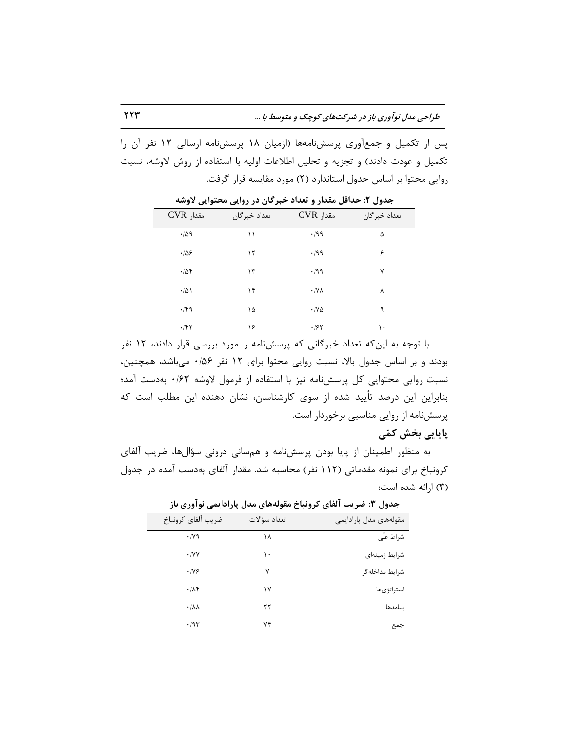پس از تکمیل و جمعآوری پرسشنامهها (ازمیان ۱۸ پرسشنامه ارسالی ۱۲ نفر آن را تکمیل و عودت دادند) و تجزیه و تحلیل اطلاعات اولیه با استفاده از روش لاوشه، نسبت روایی محتوا بر اساس جدول استاندارد (۲) مورد مقایسه قرار گرفت.

| $CVR$ مقدار    | تعداد خبر گان | $CVR$ مقدار                  | تعداد خبر گان |
|----------------|---------------|------------------------------|---------------|
| .709           | ۱۱            | .199                         | ۵             |
| .109           | ۱٢            | .199                         | ۶             |
| .708           | $\mathcal{N}$ | $\cdot$ /99                  | ٧             |
| $\cdot/\Delta$ | ۱۴            | $\cdot$ /Y $\wedge$          | ٨             |
| .79            | ۱۵            | $\cdot$ / $\vee$ $\triangle$ | ٩             |
| .787           | ۱۶            | .185                         | ۱۰            |

جدول ۲: حداقل مقدار و تعداد خبرگان در روایی محتوایی لاوشه

با توجه به این که تعداد خبرگانی که پرسشنامه را مورد بررسی قرار دادند، ۱۲ نفر بودند و بر اساس جدول بالا، نسبت روایی محتوا برای ١٢ نفر ۱۶/۶٠ میباشد، همچنین، نسبت روایی محتوایی کل پرسشنامه نیز با استفاده از فرمول لاوشه ۰/۶۲ بهدست آمد؛ بنابراین این درصد تأیید شده از سوی كارشناسان، نشان دهنده این مطلب است كه پرسشنامه از روایی مناسبی برخوردار است.

## **پایایی ترص کوّی**

به منظور اطمینان از پایا بودن پرسشنامه و همسانی درونی سؤالها، ضریب آلفای کرونباخ برای نمونه مقدماتی (۱۱۲ نفر) محاسبه شد. مقدار آلفای بهدست آمده در جدول (٣) ارائه شده است:

| こご しこう<br>77. JT 11 UJT . |              |                        |  |  |  |  |
|---------------------------|--------------|------------------------|--|--|--|--|
| مقولەھاي مدل پارادايمى    | تعداد سؤالات | ضريب ألفاي كرونباخ     |  |  |  |  |
| شراط علّى                 | ۱۸           | $\cdot$ /yq            |  |  |  |  |
| شرايط زمينهاى             | ۱۰           | $\cdot$ /YY            |  |  |  |  |
| شرايط مداخلهگر            | ٧            | .199                   |  |  |  |  |
| استراتژىها                | ۱۷           | $\cdot$ / $\wedge$ ۴   |  |  |  |  |
| پیامدها                   | ٢٢           | $\cdot/\lambda\lambda$ |  |  |  |  |
| جمع                       | ۷۴           | $\cdot$ /9٣            |  |  |  |  |
|                           |              |                        |  |  |  |  |

جدول ٣: ضریب آلفای کرونیاخ مقولههای مدل پارادایمی نوآوری باز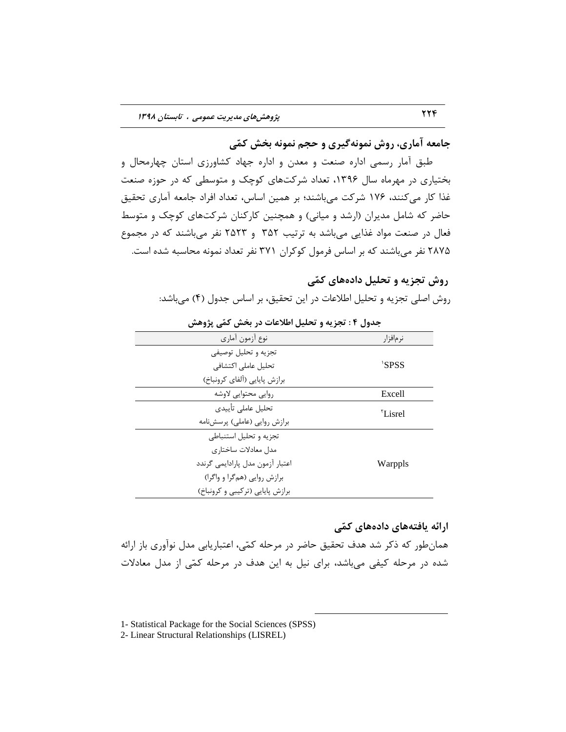جامعه آماری، روش نمونه *گی*ری و حجم نمونه بخش کمّی

طبق آمار رسمی اداره صنعت و معدن و اداره جهاد كشاورزی استان چهارمحال و بختیاری در مهرماه سال ۱۳۹۶، تعداد شرکتهای کوچک و متوسطی که در حوزه صنعت غذا کار میکنند، ۱۷۶ شرکت میباشند؛ بر همین اساس، تعداد افراد جامعه آماری تحقیق حاضر که شامل مدیران (ارشد و میانی) و همچنین کارکنان شرکتهای کوچک و متوسط فعال در صنعت مواد غذایی میباشد به ترتیب ۳۵۲ و ۲۵۲۳ نفر میباشند که در مجموع 7۸۷۵ نفر می باشند که بر اساس فرمول کوکران ۳۷۱ نفر تعداد نمونه محاسبه شده است.

## **رٍش تجشیِ ٍ تحلیل زازُّای کوّی**

روش اصلی تجزیه و تحلیل اطلاعات در این تحقیق، بر اساس جدول (۴) میباشد:

| - د - - - - - - - - - - - - -    | U <del>. - -</del> - 1 |
|----------------------------------|------------------------|
| نوع أزمون أماري                  | نرمافزار               |
| تجزيه و تحليل توصيفي             |                        |
| تحليل عاملي اكتشافي              | 'SPSS                  |
| برازش پايايي (ألفاي كرونباخ)     |                        |
| روايي محتوايي لاوشه              | Excell                 |
| تحليل عاملي تأييدي               | Lisrel <sup>*</sup>    |
| برازش روايي (عاملي) پرسشنامه     |                        |
| تجزيه وتحليل استنباطى            |                        |
| مدل معادلات ساختاري              |                        |
| اعتبار آزمون مدل پارادايمي گرندد | Warppls                |
| برازش روایی (همگرا و واگرا)      |                        |
| برازش پایایی (ترکیبی و کرونباخ)  |                        |

**جسٍل 4 : تجشیِ ٍ تحلیل اطالعات زر ترص کوّی پژٍّص**

## ارائه یافتههای دادههای کمّی

همانطور كه ذكر شد هدف تحقیق حاضر در مرحله كمّی، اعتباریابی مدل نوآوری باز ارائه شده در مرحله کیفی میباشد، برای نیل به این هدف در مرحله کمّی از مدل معادلات

 $\overline{a}$ 

1- Statistical Package for the Social Sciences (SPSS)

2- Linear Structural Relationships (LISREL)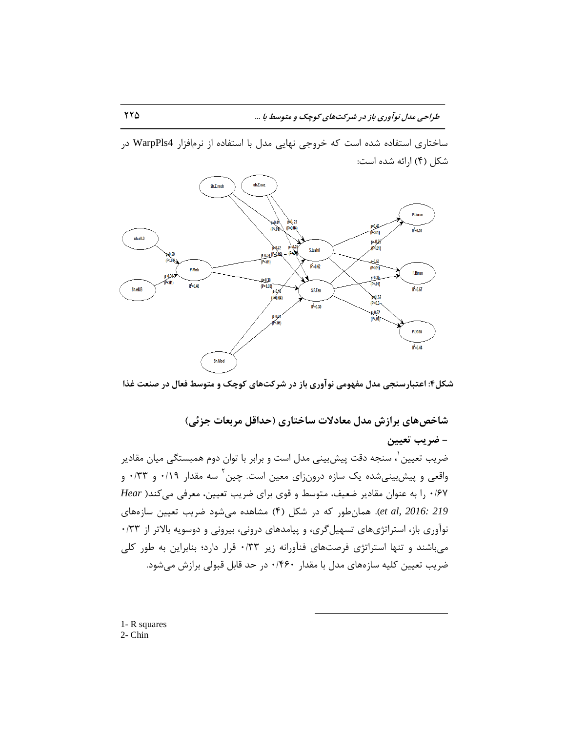ساختاری استفاده شده است که خروجی نهایی مدل با استفاده از نرمافزار WarpPls4 در شكل (۴) ارائه شده است:



شکل۴: اعتبارسنجی مدل مفهومی نوآوری باز در شرکتهای کوچک و متوسط فعال در صنعت غذا

**ضاذصّای تزاسش هسل هعازالت ساذتاری )حساقل هزتعات جشئی(**

 $\overline{a}$ 

**- ضزیة تعییي** ضریب تعیین ٰ، سنجه دقت پیشبینی مدل است و برابر با توان دوم همبستگی میان مقادیر واقعی و پیش بینیشده یک سازه درونزای معین است. چین<sup>۲</sup> سه مقدار ۰/۱۹ و ۰/۳۳ و ۰/۶۷ را به عنوان مقادیر ضعیف، متوسط و قوی برای ضریب تعیین، معرفی می *کن*د( Hear et al, 2016: 219). همان طور كه در شكل (۴) مشاهده می شود ضریب تعیین سازههای نوآوری باز، استراتژیهای تسهیل گری، و پیامدهای درونی، بیرونی و دوسویه بالاتر از ۰/۳۳ هی باشند و تنها استراتژی فرصتهای فنآورانه زیر ۰/۳۳ قرار دارد؛ بنابراین به طور کلی ضریب تعیین کلیه سازههای مدل با مقدار ۱۴۶۰ در حد قابل قبولی برازش می شود.

1- R squares 2- Chin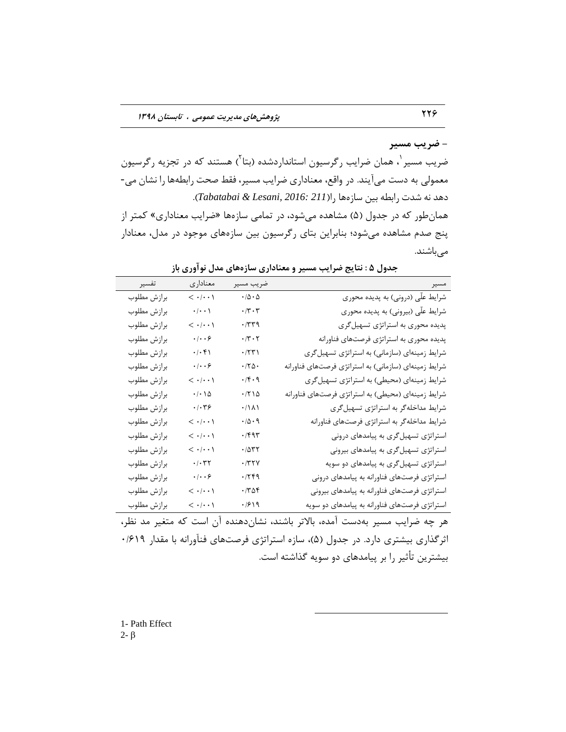#### **- ضزیة هسیز**

ضریب مسیر <sup>۱</sup>، همان ضرایب رگرسیون استانداردشده (بتا<sup>۲</sup>) هستند که در تجزیه رگرسیون معمولی به دست می آیند. در واقع، معناداری ضرایب مسیر، فقط صحت رابطهها را نشان می-زٞس ٝ٘ قست ضاثغٝ ثیٗ ؾبظٜٞب ضا)*211 2016: ,Lesani & Tabatabai*). همان طور که در جدول (۵) مشاهده می شود، در تمامی سازهها «ضرایب معناداری» کمتر از پنج صدم مشاهده میشود؛ بنابراین بتای رگرسیون بین سازههای موجود در مدل، معنادار میباشند.

| تفسير       | معناداري                                                         | ضريب مسير                                                                                 | مسير                                                 |
|-------------|------------------------------------------------------------------|-------------------------------------------------------------------------------------------|------------------------------------------------------|
| برازش مطلوب | $\langle \cdot   \cdot \cdot \rangle$                            | $\cdot$ /<br>Δ $\cdot$ $\Delta$                                                           | شرایط علّی (درونی) به پدیده محوری                    |
| برازش مطلوب | $\boldsymbol{\cdot}\, \boldsymbol{\cdot}\,\boldsymbol{\cdot}\, $ | $\boldsymbol{\cdot} \,/\boldsymbol{\upgamma} \boldsymbol{\cdot} \, \boldsymbol{\upgamma}$ | شرایط علّی (بیرونی) به پدیده محوری                   |
| برازش مطلوب | $\langle \cdot   \cdot \cdot \rangle$                            | $\cdot$ /٣٣٩                                                                              | پدیده محوری به استراتژی تسهیلگری                     |
| برازش مطلوب | $\cdot/\cdot\cdot$ ۶                                             | $\cdot/\mathbf{r} \cdot \mathbf{r}$                                                       | پدیده محوری به استراتژی فرصتهای فناورانه             |
| برازش مطلوب | $\cdot/\cdot$ ۴۱                                                 | $\cdot$ /٢٣١                                                                              | شرایط زمینهای (سازمانی) به استراتژی تسهیل گری        |
| برازش مطلوب | $\cdot/\cdot\cdot$ ۶                                             | $\cdot$ /٢۵٠                                                                              | شرایط زمینهای (سازمانی) به استراتژی فرصتهای فناورانه |
| برازش مطلوب | $\langle \cdot   \cdot \cdot \rangle$                            | $\cdot$ /۴ $\cdot$ ۹                                                                      | شرایط زمینهای (محیطی) به استراتژی تسهیل گری          |
| برازش مطلوب | $\cdot$ / $\cdot$ / $\Delta$                                     | $\cdot$ /٢١۵                                                                              | شرایط زمینهای (محیطی) به استراتژی فرصتهای فناورانه   |
| برازش مطلوب | $\cdot/\cdot$ ۳۶                                                 | $\cdot/\lambda\lambda$                                                                    | شرایط مداخلهگر به استراتژی تسهیلگری                  |
| برازش مطلوب | $\langle \cdot   \cdot \cdot \rangle$                            | $\cdot$ /<br>$\Diamond$ $\cdot$ $\,$ $\Diamond$                                           | شرایط مداخلهگر به استراتژی فرصتهای فناورانه          |
| برازش مطلوب | $\langle \cdot   \cdot \cdot \rangle$                            | ۰/۴۹۳                                                                                     | استراتژی تسهیلگری به پیامدهای درونی                  |
| برازش مطلوب | $\langle \cdot   \cdot \cdot \rangle$                            | $\cdot$ / $\Delta$ ۳۲                                                                     | استراتژی تسهیلگری به پیامدهای بیرونی                 |
| برازش مطلوب | $\cdot$ / $\cdot$ $\uparrow$ $\uparrow$                          | $\cdot$ /٣٢٧                                                                              | استراتژی تسهیلگری به پیامدهای دو سویه                |
| برازش مطلوب | $\cdot/\cdot\cdot$ ۶                                             | .779                                                                                      | استراتژی فرصتهای فناورانه به پیامدهای درونی          |
| برازش مطلوب | $\langle \cdot   \cdot \cdot \rangle$                            | $\cdot$ /٣۵۴                                                                              | استراتژی فرصتهای فناورانه به پیامدهای بیرونی         |
| برازش مطلوب | $\langle \cdot   \cdot \cdot \rangle$                            | .7919                                                                                     | استراتژی فرصتهای فناورانه به پیامدهای دو سویه        |

جدول **۵ : نتایج ضرایب مسیر و معناداری سازههای مدل نوآوری باز** 

هر چه ضرایب مسیر بهدست آمده، بالاتر باشند، نشاندهنده آن است که متغیر مد نظر، اثرگذاری بیشتری دارد. در جدول (۵)، سازه استراتژی فرصتهای فنآورانه با مقدار ۰/۶۱۹ بیشترین تأثیر را بر پیامدهای دو سویه گذاشته است.

 $\overline{a}$ 

1- Path Effect  $2-\beta$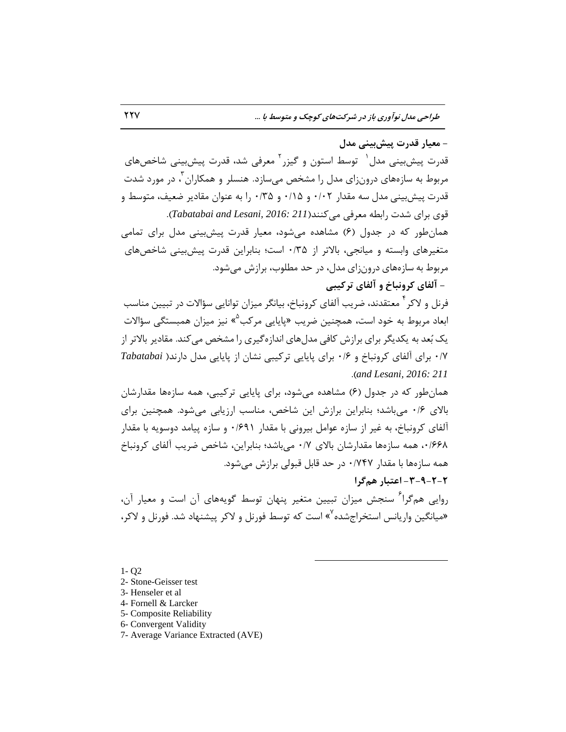**- هعیار قسرت پیصتیٌی هسل**

قدرت پیشبینی مدل <sup>۱</sup> توسط استون و گیزر <sup>۲</sup> معرفی شد، قدرت پیشبینی شاخصهای مربوط به سازههای درون;ای مدل را مشخص می سازد. هنسلر و همکاران آ، در مورد شدت قدرت پیش بینی مدل سه مقدار ۰/۰۲ و ۰/۱۵ و ۰/۳۵ را به عنوان مقادیر ضعیف، متوسط و قوی برای شدت رابطه معرف*ی می کن*ند(Tabatabai and Lesani, 2016: 211). همانِطور که در جدول (۶) مشاهده می شود، معیار قدرت پیش بینی مدل برای تمامی متغیرهای وابسته و میانجی، بالاتر از ۰/۳۵ است؛ بنابراین قدرت پیش بینی شاخصهای مربوط به سازههای درون;ای مدل، در حد مطلوب، برازش می شود. **- آ فای کزًٍثاخ ٍ آ فای تزکیثی** 

فرنل و لاکر <sup>۴</sup> معتقدند، ضریب آلفای کرونباخ، بیانگر میزان توانایی سؤالات در تبیین مناسب ابعاد مربوط به خود است، همچنین ضریب «پایایی مرکب<sup>۵</sup>» نیز میزان همبستگی سؤالات یک بُعد به یکدیگر برای برازش کافی مدلهای اندازهگیری را مشخص می کند. مقادیر بالاتر از 0/7 ثطای آِفبی وط٘ٚجبخ ٚ 0/6 ثطای پبیبیی تطویجی ٘كبٖ اظ پبیبیی ٔسَ زاض٘س) *Tabatabai* .)*and Lesani, 2016: 211*

همانِطور که در جدول (۶) مشاهده میشود، برای پایایی ترکیبی، همه سازهها مقدارشان بالای ۱۶۰ میباشد؛ بنابراین برازش این شاخص، مناسب ارزیابی می شود. همچنین برای آلفای کرونباخ، به غیر از سازه عوامل بیرونی با مقدار ۶۹۱+۰ و سازه پیامد دوسویه با مقدار ،1/64 مه سازهها مقدارشان بالای ۰/۷ میباشد؛ بنابراین، شاخص ضریب آلفای کرونباخ همه سازهها با مقدار ۰/۷۴۷ در حد قابل قبولی برازش می شود. **-3-9-2-2 اعتثار ّنگزا**

روایی همگرا<sup>۶</sup> سنجش میزان تبیین متغیر پنهان توسط گویههای آن است و معیار آن، هیانگین واریانس استخراجشده<sup>۷</sup>» است که توسط فورنل و لاکر پیشنهاد شد. فورنل و لاکر،

 $\overline{a}$ 

1- Q2

- 2- Stone-Geisser test
- 3- Henseler et al
- 4- Fornell & Larcker
- 5- Composite Reliability
- 6- Convergent Validity
- 7- Average Variance Extracted (AVE)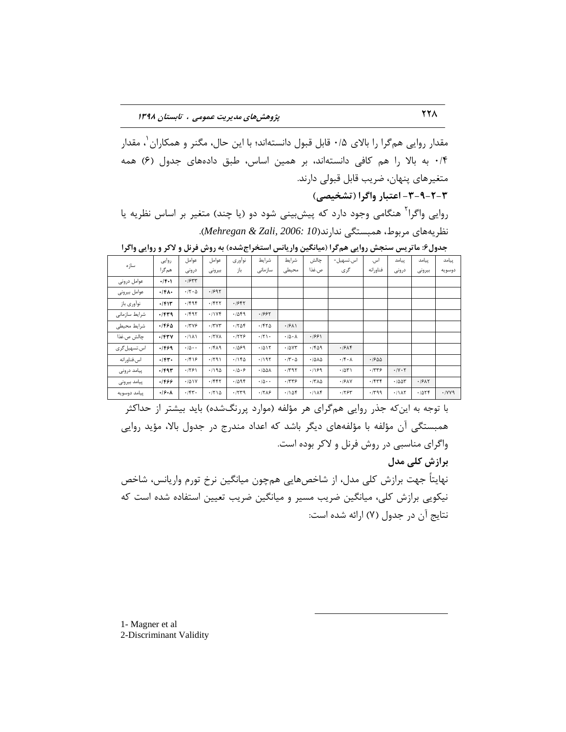مقدار روایی هم5را را بالای ۰/۵ قابل قبول دانستهاند؛ با این حال، مگنر و همکاران ٰ، مقدار ٠/۴ به بالا را هم كافی دانستهاند، بر همين اساس، طبق دادههای جدول (۶) همه متغیرهای پنهان، ضریب قابل قبولی دارند.

**-3-9-2-3 اعتثار ٍاگزا )تطریصی(**

روایی واگرا<sup>۲</sup> هنگامی وجود دارد که پیشبینی شود دو (یا چند) متغیر بر اساس نظریه یا ٘ظطیٞٝبی ٔطثٛط، ٕٞجؿتٍی ٘ساض٘س)*10 2006: ,Zali & Mehregan*).

| سازه          | روايي               | عوامل                       | عوامل             | نوآوري | شرايط                      | شرايط                        | چالش         | اس.تسهيل-                   | اس.      | ييامد                           | پیامد  | ييامد  |
|---------------|---------------------|-----------------------------|-------------------|--------|----------------------------|------------------------------|--------------|-----------------------------|----------|---------------------------------|--------|--------|
|               | همگرا               | درونى                       | بيرونى            | باز    | سازمانى                    | محيطى                        | ص.غذا        | گري                         | فناورانه | درونى                           | بيرونى | دوسويه |
| عوامل درونى   | $+$ $ F+1 $         | .1977                       |                   |        |                            |                              |              |                             |          |                                 |        |        |
| عوامل بيرونى  | $\cdot$ /۴۸ $\cdot$ | $\cdot$ /٢ $\cdot$ $\Delta$ | .1995             |        |                            |                              |              |                             |          |                                 |        |        |
| نوآوري باز    | .791                | .799                        | $.$ /۴۲۲          | .1987  |                            |                              |              |                             |          |                                 |        |        |
| شرایط سازمانی | .154                | .791                        | .11Yf             | .1049  | .1997                      |                              |              |                             |          |                                 |        |        |
| شرايط محيطى   | .1990               | .799                        | .77Y              | .708   | .750                       | .1911                        |              |                             |          |                                 |        |        |
| چالش ص.غذا    | $.$ /۴۳۷            | .7111                       | .17V <sub>A</sub> | .759   | $\cdot$ /٢١٠               | $\cdot/\Delta \cdot \Lambda$ | .1991        |                             |          |                                 |        |        |
| اس.تسهیل گری  | .1999               | $\cdot/\Delta \cdot \cdot$  | .1519             | .1099  | .7015                      | .70Y                         | .199         | .1916                       |          |                                 |        |        |
| اس.فناورانه   | $.1$ ۴۳.            | .1919                       | .791              | .1160  | .195                       | $\cdot$ /۳ $\cdot$ $\circ$   | .7010        | $\cdot$ /۴ $\cdot$ $\wedge$ | .1900    |                                 |        |        |
| پیامد درونی   | $\cdot$ /۴۹۳        | .791                        | .190              | .10.8  | .780A                      | .795                         | .199         | .7071                       | .779     | $\cdot$ / $\vee$ $\cdot$ $\vee$ |        |        |
| پیامد بیرونی  | 1466.               | .101Y                       | .755              | .7098  | $\cdot/\Delta \cdot \cdot$ | .7779                        | $\cdot$ /٣٨٥ | .19AV                       | .757     | .7007                           | .19AT  |        |
| پیامد دوسویه  | .9.1                | .757.                       | .710              | .7779  | .77A9                      | .1104                        | .11A         | .755                        | .799     | .1117                           | .705f  | .119   |
|               |                     |                             |                   |        |                            |                              |              |                             |          |                                 |        |        |

جدول۶: ماتریس سنجش روایی همگرا (میانگین واریانس استخراجشده) به روش فرنل و لاکر و روایی واگرا

با توجه به این که جذر روایی هم گرای هر مؤلفه (موارد پررنگشده) باید بیشتر از حداکثر همبستگی آن مؤلفه با مؤلفههای دیگر باشد که اعداد مندرج در جدول بالا، مؤید روایی واگرای مناسبی در روش فرنل و لاکر بوده است. **تزاسش کلی هسل** نهایتاً جهت برازش کلی مدل، از شاخصهایی همچون میانگین نرخ تورم واریانس، شاخص نیکویی برازش کلی، میانگین ضریب مسیر و میانگین ضریب تعیین استفاده شده است که نتایج آن در جدول (۷) ارائه شده است:

 $\overline{a}$ 

1- Magner et al 2-Discriminant Validity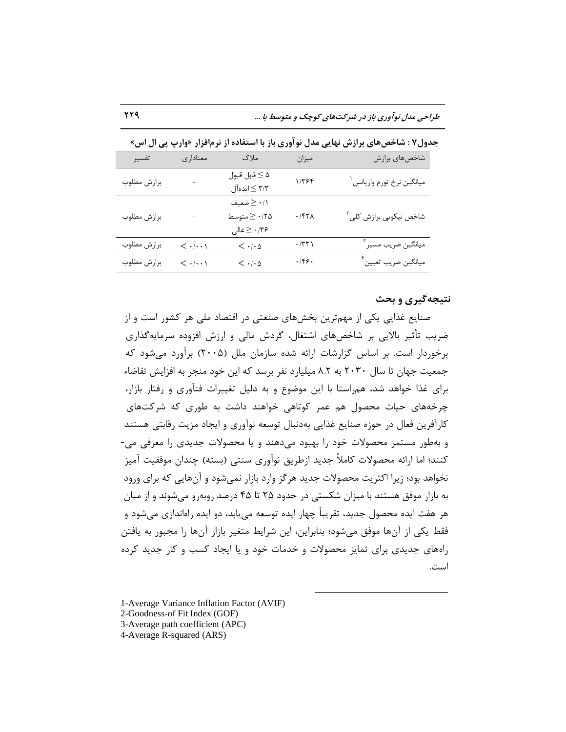| تفسير       | معناداري                              | ملاک                                                                               | ميزان               | شاخصهاي برازش                         |
|-------------|---------------------------------------|------------------------------------------------------------------------------------|---------------------|---------------------------------------|
| برازش مطلوب |                                       | $\Delta \geq 5$ قابل قبول<br>۳/۳ ≥ ایدهآل                                          | $1/T$ ۶۴            | ميانگين نرخ تورم واريانس <sup>۱</sup> |
| برازش مطلوب |                                       | ۰/۱ ≤ ضعیف<br>$\frac{1}{2} \geq \cdot 70$ متوسط<br>$\leq \cdot$ ۱۳۶ $\cdot \leq 2$ | $\cdot$ /۴۲۸        | شاخص نیکویی برازش کلی <sup>۲</sup>    |
| برازش مطلوب | $<\cdot/\cdot\cdot$ )                 | $<\cdot$ / $\cdot$ $\upDelta$                                                      | $\cdot$ /٣٣١        | ميانگين ضريب مسير <sup>۳</sup>        |
| برازش مطلوب | $\langle \cdot   \cdot \cdot \rangle$ | $\langle \cdot   \cdot \Delta$                                                     | $\cdot$ /۴۶ $\cdot$ | ميانگين ضريب تعيين أ                  |

جدول ۷ : شاخص های برازش نهایی مدل نوآوری باز با استفاده از نرمافزار «وارپ پی ال اس»

#### **ًتیجِگیزی ٍ تحث**

صنایع غذایی یکی از مهمترین بخشهای صنعتی در اقتصاد ملی هر کشور است و از ضریب تأثیر بالایی بر شاخصهای اشتغال، گردش مالی و ارزش افزوده سرمایهگذاری برخوردار است. بر اساس گزارشات ارائه شده سازمان ملل (۲۰۰۵) برآورد می شود که جمعیت جهان تا سال ۲۰۳۰ به ۸.۲ میلیارد نفر برسد که این خود منجر به افزایش تقاضاء برای غذا خواهد شد، همراستا با این موضوع و به دلیل تغییرات فنآوری و رفتار بازار، چرخههای حیات محصول هم عمر کوتاهی خواهند داشت به طوری که شرکتهای کارآفرین فعال در حوزه صنایع غذایی بهدنبال توسعه نوآوری و ایجاد مزیت رقابتی هستند و به طور مستمر محصولات خود را بهبود می دهند و یا محصولات جدیدی را معرفی می-کنند؛ اما ارائه محصولات کاملاً جدید ازطریق نوآوری سنتی (بسته) چندان موفقیت آمیز نخواهد بود؛ زیرا اکثریت محصولات جدید هرگز وارد بازار نمیشود و آنهایی که برای ورود به بازار موفق هستند با میزان شکستی در حدود ۲۵ تا ۴۵ درصد روبهرو می شوند و از میان هر هفت ایده محصول جدید، تقریباً چهار ایده توسعه می،یابد، دو ایده راهاندازی می،شود و فقط یکی از آنها موفق میشود؛ بنابراین، این شرایط متغیر بازار آنها را مجبور به یافتن رامهای جدیدی برای تمایز محصولات و خدمات خود و یا ایجاد کسب و کار جدید کرده است.

 $\overline{a}$ 

<sup>1-</sup>Average Variance Inflation Factor (AVIF)

<sup>2-</sup>Goodness-of Fit Index (GOF)

<sup>3-</sup>Average path coefficient (APC)

<sup>4-</sup>Average R-squared (ARS)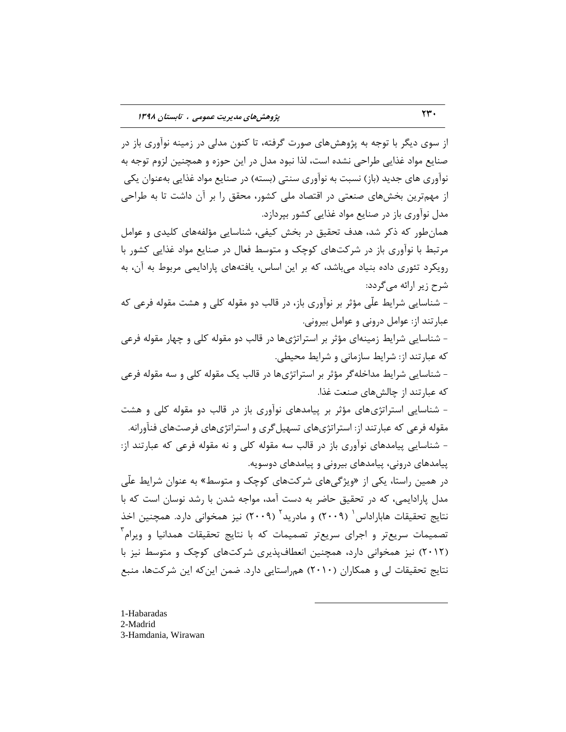از سوی دیگر با توجه به پژوهشهای صورت گرفته، تا کنون مدلی در زمینه نوآوری باز در صنایع مواد غذایی طراحی نشده است، لذا نبود مدل در این حوزه و همچنین لزوم توجه به نوآوری های جدید (باز) نسبت به نوآوری سنتی (بسته) در صنایع مواد غذایی بهعنوان یکی از مهمترین بخشهای صنعتی در اقتصاد ملی کشور، محقق را بر آن داشت تا به طراحی مدل نوآوری باز در صنایع مواد غذایی كشور بیردازد. همانطور كه ذكر شد، هدف تحقیق در بخش كیفی، شناسایی مؤلفههای كلیدی و عوامل مرتبط با نوآوری باز در شركتهای كوچک و متوسط فعال در صنایع مواد غذایی كشور با رویکرد تئوری داده بنیاد میباشد، که بر این اساس، یافتههای پارادایمی مربوط به آن، به شرح زیر ارائه میگردد: – شناسایی شرایط علّی مؤثر بر نوآوری باز، در قالب دو مقوله کلی و هشت مقوله فرعی که عبارتند از: عوامل درونی و عوامل بیرونی. - شناسایی شرایط زمینهای مؤثر بر استراتژیها در قالب دو مقوله کلی و چهار مقوله فرعی که عبارتند از: شرایط سازمانی و شرایط محیطی. - شناسایی شرایط مداخله گر مؤثر بر استراتژیها در قالب یک مقوله کلی و سه مقوله فرعی

كه عبارتند از چالش های صنعت غذا.

- شناسایی استراتژیهای مؤثر بر پیامدهای نوآوری باز در قالبِ دو مقوله كلی و هشت مقوله فرعی که عبارتند از: استراتژیهای تسهیل گری و استراتژیهای فرصتهای فنآورانه. - شناسایی پیامدهای نوآوری باز در قالب سه مقوله کلی و نه مقوله فرعی که عبارتند از: پیامدهای درونی، پیامدهای بیرونی و پیامدهای دوسویه.

در همین راستا، یکی از «ویژگیهای شرکتهای کوچک و متوسط» به عنوان شرایط علّی مدل پارادایمی، که در تحقیق حاضر به دست آمد، مواجه شدن با رشد نوسان است که با نتایج تحقیقات هاباراداس<sup>٬</sup> (۲۰۰۹) و مادرید<sup>۲</sup> (۲۰۰۹) نیز همخوانی دارد. همچنین اخذ تصمیمات سریعتر و اجرای سریعتر تصمیمات که با نتایج تحقیقات همدانیا و ویرام<sup>۳</sup> (۲۰۱۲) نیز همخوانی دارد، همچنین انعطافپذیری شرکتهای کوچک و متوسط نیز با نتایج تحقیقات لی و همکاران (۲۰۱۰) همراستایی دارد. ضمن این که این شرکتها، منبع

 $\overline{a}$ 

1-Habaradas 2-Madrid 3-Hamdania, Wirawan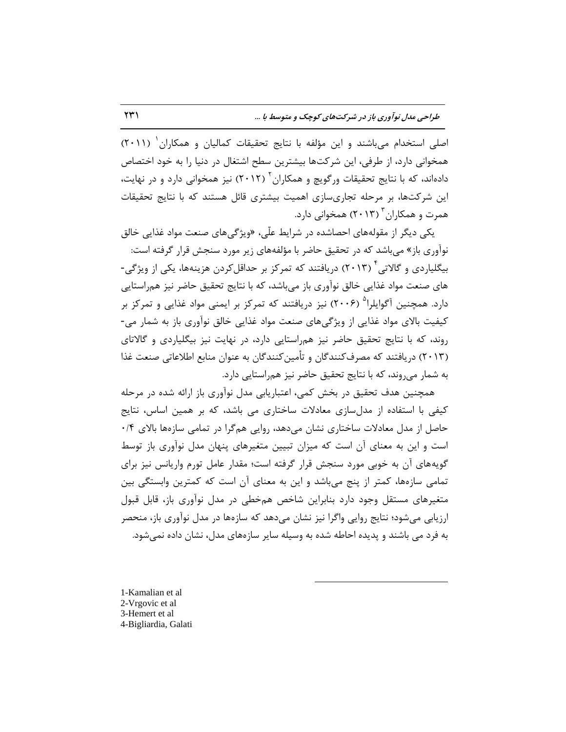اصلی استخدام میباشند و این مؤلفه با نتایج تحقیقات کمالیان و همکاران ٰ (۲۰۱۱) همخوانی دارد، از طرفی، این شركتها بیشترین سطح اشتغال در دنیا را به خود اختصاص دادهاند، که با نتایج تحقیقات ورگویچ و همکاران<sup>۲</sup> (۲۰۱۲) نیز همخوانی دارد و در نهایت، این شركتها، بر مرحله تجاریسازی اهمیت بیشتری قائل هستند كه با نتایج تحقیقات همرت و همکاران<sup>۳</sup> (۲۰۱۳) همخوانی دارد.

یکی دیگر از مقولههای احصاشده در شرایط علّی، «ویژگیهای صنعت مواد غذایی خالق نوآوری باز» می باشد که در تحقیق حاضر با مؤلفههای زیر مورد سنجش قرار گرفته است: بیگلیاردی و گالاتی ٔ (۲۰۱۳) دریافتند که تمرکز بر حداقلکردن هزینهها، یکی از ویژگی-های صنعت مواد غذایی خالق نوآوری باز میباشد، كه با نتایج تحقیق حاضر نیز همراستایی دارد. همچنین آگوایلرا<sup>۵</sup> (۲۰۰۶) نیز دریافتند که تمرکز بر ایمنی مواد غذایی و تمرکز بر کیفیت بالای مواد غذایی از ویژگی های صنعت مواد غذایی خالق نوآوری باز به شمار می-روند، كه با نتایج تحقیق حاضر نیز همراستایی دارد، در نهایت نیز بیگلیاردی و گالاتای (۲۰۱۳) دریافتند که مصرفکنندگان و تأمین کنندگان به عنوان منابع اطلاعاتی صنعت غذا به شمار می روند، که با نتایج تحقیق حاضر نیز همراستایی دارد.

همچنین هدف تحقیق در بخش کمی، اعتباریابی مدل نوآوری باز ارائه شده در مرحله کیفی با استفاده از مدلسازی معادلات ساختاری می باشد، که بر همین اساس، نتایج حاصل از مدل معادلات ساختاری نشان می دهد، روایی همگرا در تمامی سازهها بالای ۰/۴ است و این به معنای آن است که میزان تبیین متغیرهای پنهان مدل نوآوری باز توسط گویههای آن به خوبی مورد سنجش قرار گرفته است؛ مقدار عامل تورم واریانس نیز برای تمامی سازهها، کمتر از پنج میٍباشد و این به معنای آن است که کمترین وابستگی بین متغیرهای مستقل وجود دارد بنابراین شاخص همخطی در مدل نوآوری باز، قابل قبول ارزیابی میشود؛ نتایج روایی واگرا نیز نشان میدهد که سازهها در مدل نوآوری باز، منحصر به فرد می باشند و پدیده احاطه شده به وسیله سایر سازههای مدل، نشان داده نمی شود.

 $\overline{a}$ 

1-Kamalian et al 2-Vrgovic et al 3-Hemert et al 4-Bigliardia, Galati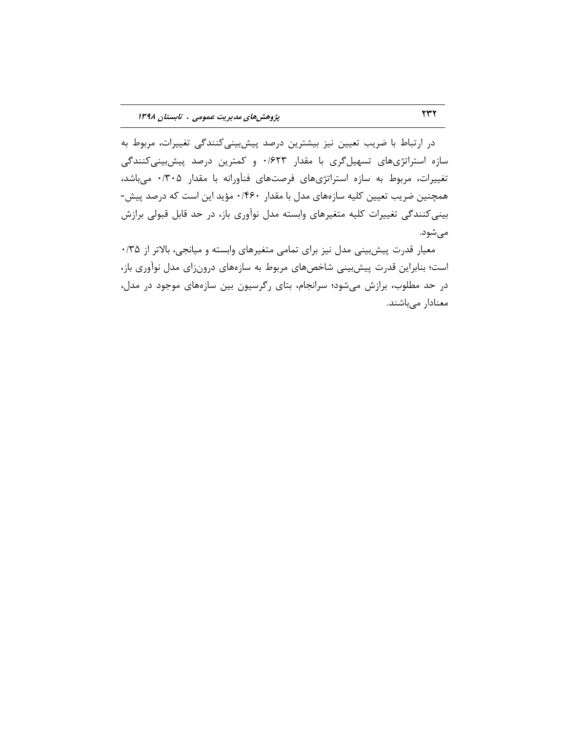در ارتباط با ضریب تعیین نیز بیشترین درصد پیشبییکنندگی تغییرات، مربوط به سازه استراتژیهای تسهیلگری با مقدار ۰/۶۲۳ و کمترین درصد پیشبینیکنندگی تغییرات، مربوط به سازه استراتژیهای فرصتهای فنآورانه با مقدار ۰/۳۰۵ میباشد، همچنین ضریب تعیین کلیه سازههای مدل با مقدار ۰/۴۶۰ مؤید این است که درصد پیش-بینی کنندگی تغییرات کلیه متغیرهای وابسته مدل نوآوری باز، در حد قابل قبولی برازش میشود.

ٔ معیار قدرت پیش بینی مدل نیز برای تمامی متغیرهای وابسته و میانجی، بالاتر از ۰/۳۵ است؛ بنابراین قدرت پیش بینی شاخصهای مربوط به سازههای درونزای مدل نوآوری باز، در حد مطلوب، برازش میشود؛ سرانجام، بتای رگرسیون بین سازههای موجود در مدل، معنادار میباشند.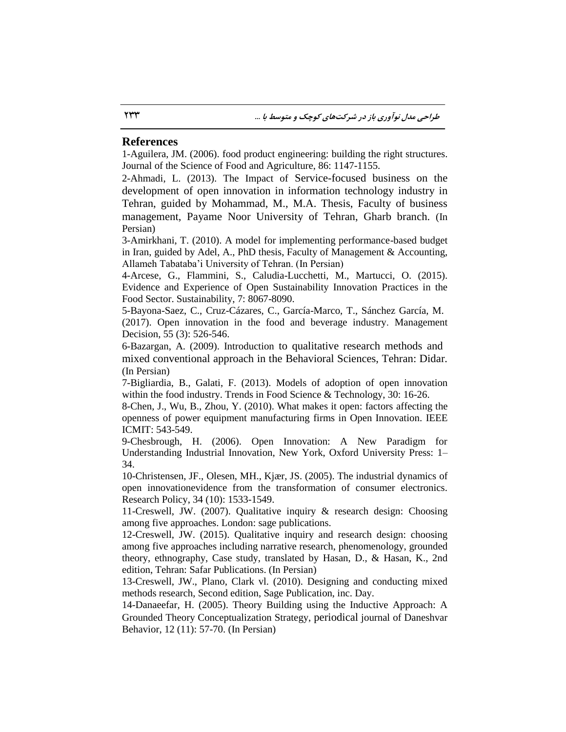## **References**

1-Aguilera, JM. (2006). food product engineering: building the right structures. Journal of the Science of Food and Agriculture, 86: 1147-1155.

2-Ahmadi, L. (2013). The Impact of Service-focused business on the development of open innovation in information technology industry in Tehran, guided by Mohammad, M., M.A. Thesis, Faculty of business management, Payame Noor University of Tehran, Gharb branch. (In Persian)

3-Amirkhani, T. (2010). A model for implementing performance-based budget in Iran, guided by Adel, A., PhD thesis, Faculty of Management & Accounting, Allameh Tabataba'i University of Tehran. (In Persian)

4-Arcese, G., Flammini, S., Caludia-Lucchetti, M., Martucci, O. (2015). Evidence and Experience of Open Sustainability Innovation Practices in the Food Sector. Sustainability, 7: 8067-8090.

5-Bayona-Saez, C., Cruz-Cázares, C., García-Marco, T., Sánchez García, M. (2017). Open innovation in the food and beverage industry. Management Decision, 55 (3): 526-546.

6-Bazargan, A. (2009). Introduction to qualitative research methods and mixed conventional approach in the Behavioral Sciences, Tehran: Didar*.*  (In Persian)

7-Bigliardia, B., Galati, F. (2013). Models of adoption of open innovation within the food industry. Trends in Food Science & Technology, 30: 16-26.

8-Chen, J., Wu, B., Zhou, Y. (2010). What makes it open: factors affecting the openness of power equipment manufacturing firms in Open Innovation. IEEE ICMIT: 543-549.

9-Chesbrough, H. (2006). Open Innovation: A New Paradigm for Understanding Industrial Innovation, New York, Oxford University Press: 1– 34.

10-Christensen, JF., Olesen, MH., Kjær, JS. (2005). The industrial dynamics of open innovationevidence from the transformation of consumer electronics. Research Policy, 34 (10): 1533-1549.

11-Creswell, JW. (2007). Qualitative inquiry & research design: Choosing among five approaches. London: sage publications.

12-Creswell, JW. (2015). Qualitative inquiry and research design: choosing among five approaches including narrative research, phenomenology, grounded theory, ethnography, Case study, translated by Hasan, D., & Hasan, K., 2nd edition, Tehran: Safar Publications. (In Persian)

13-Creswell, JW., Plano, Clark vl. (2010). Designing and conducting mixed methods research, Second edition, Sage Publication, inc. Day.

14-Danaeefar, H. (2005). Theory Building using the Inductive Approach: A Grounded Theory Conceptualization Strategy, periodical journal of Daneshvar Behavior, 12 (11): 57-70. (In Persian)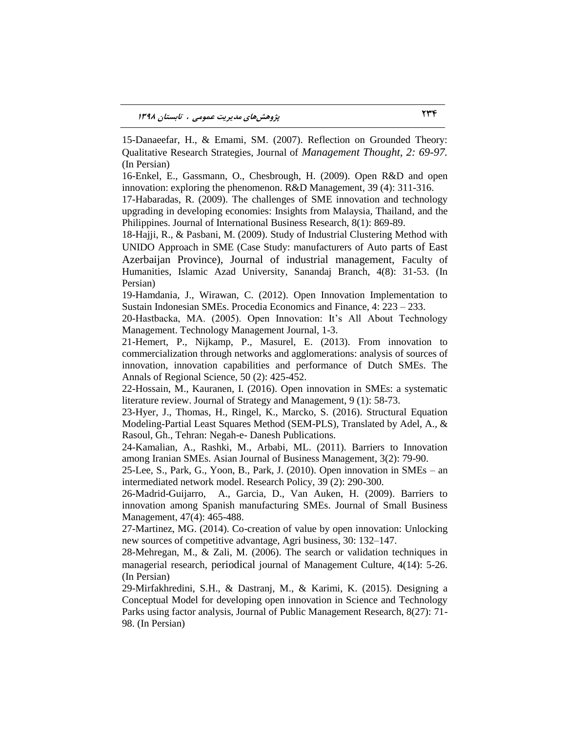15-Danaeefar, H., & Emami, SM. (2007). Reflection on Grounded Theory: Qualitative Research Strategies, Journal of *Management Thought, 2: 69-97.*  (In Persian)

16-Enkel, E., Gassmann, O., Chesbrough, H. (2009). Open R&D and open innovation: exploring the phenomenon. R&D Management, 39 (4): 311-316.

17-Habaradas, R. (2009). The challenges of SME innovation and technology upgrading in developing economies: Insights from Malaysia, Thailand, and the Philippines. Journal of International Business Research, 8(1): 869-89.

18-Hajji, R., & Pasbani, M. (2009). Study of Industrial Clustering Method with UNIDO Approach in SME (Case Study: manufacturers of Auto parts of East Azerbaijan Province), Journal of industrial management, Faculty of Humanities, Islamic Azad University, Sanandaj Branch, 4(8): 31-53. (In Persian)

19-Hamdania, J., Wirawan, C. (2012). Open Innovation Implementation to Sustain Indonesian SMEs. Procedia Economics and Finance, 4: 223 – 233.

20-Hastbacka, MA. (2005). Open Innovation: It's All About Technology Management. Technology Management Journal, 1-3.

21-Hemert, P., Nijkamp, P., Masurel, E. (2013). From innovation to commercialization through networks and agglomerations: analysis of sources of innovation, innovation capabilities and performance of Dutch SMEs. The Annals of Regional Science, 50 (2): 425-452.

22-Hossain, M., Kauranen, I. (2016). Open innovation in SMEs: a systematic literature review. Journal of Strategy and Management, 9 (1): 58-73.

23-Hyer, J., Thomas, H., Ringel, K., Marcko, S. (2016). Structural Equation Modeling-Partial Least Squares Method (SEM-PLS), Translated by Adel, A., & Rasoul, Gh., Tehran: Negah-e- Danesh Publications.

24-Kamalian, A., Rashki, M., Arbabi, ML. (2011). Barriers to Innovation among Iranian SMEs. Asian Journal of Business Management, 3(2): 79-90.

25-Lee, S., Park, G., Yoon, B., Park, J. (2010). Open innovation in SMEs – an intermediated network model. Research Policy, 39 (2): 290-300.

26-Madrid-Guijarro, A., Garcia, D., Van Auken, H. (2009). Barriers to innovation among Spanish manufacturing SMEs. Journal of Small Business Management, 47(4): 465-488.

27-Martinez, MG. (2014). Co-creation of value by open innovation: Unlocking new sources of competitive advantage, Agri business, 30: 132–147.

28-Mehregan, M., & Zali, M. (2006). The search or validation techniques in managerial research, periodical journal of Management Culture, 4(14): 5-26. (In Persian)

29-Mirfakhredini, S.H., & Dastranj, M., & Karimi, K. (2015). Designing a Conceptual Model for developing open innovation in Science and Technology Parks using factor analysis, Journal of Public Management Research, 8(27): 71- 98. (In Persian)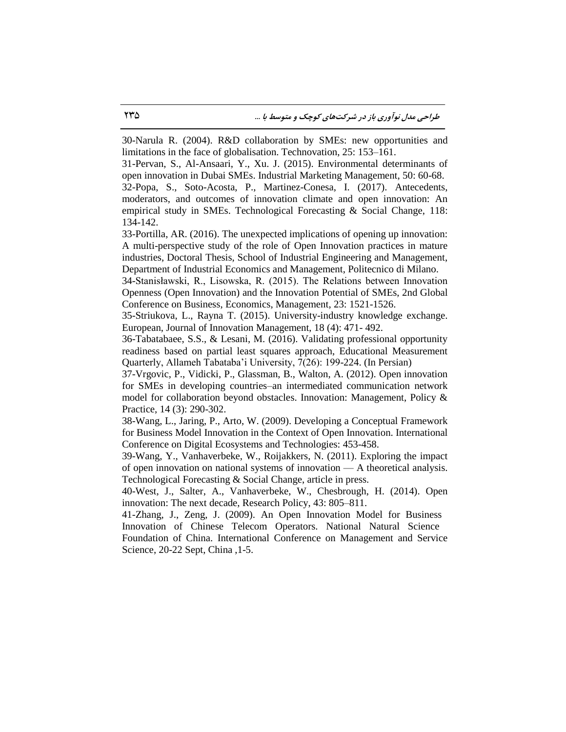30-Narula R. (2004). R&D collaboration by SMEs: new opportunities and limitations in the face of globalisation. Technovation, 25: 153–161.

31-Pervan, S., Al-Ansaari, Y., Xu. J. (2015). Environmental determinants of open innovation in Dubai SMEs. Industrial Marketing Management, 50: 60-68.

32-Popa, S., Soto-Acosta, P., Martinez-Conesa, I. (2017). Antecedents, moderators, and outcomes of innovation climate and open innovation: An empirical study in SMEs. Technological Forecasting & Social Change, [118:](http://www.sciencedirect.com/science/journal/00401625/118/supp/C) 134-142.

33-Portilla, AR. (2016). The unexpected implications of opening up innovation: A multi-perspective study of the role of Open Innovation practices in mature industries, Doctoral Thesis, School of Industrial Engineering and Management, Department of Industrial Economics and Management, Politecnico di Milano.

34-Stanisławski, R., Lisowska, R. (2015). The Relations between Innovation Openness (Open Innovation) and the Innovation Potential of SMEs, 2nd Global Conference on Business, Economics, Management, [23:](http://www.sciencedirect.com/science/journal/22125671/23/supp/C) 1521-1526.

35-Striukova, L., Rayna T. (2015). University-industry knowledge exchange. European, Journal of Innovation Management, 18 (4): 471- 492.

36-Tabatabaee, S.S., & Lesani, M. (2016). Validating professional opportunity readiness based on partial least squares approach, Educational Measurement Quarterly, Allameh Tabataba'i University, 7(26): 199-224. (In Persian)

37-Vrgovic, P., Vidicki, P., Glassman, B., Walton, A. (2012). Open innovation for SMEs in developing countries–an intermediated communication network model for collaboration beyond obstacles. Innovation: Management, Policy  $\&$ Practice, 14 (3): 290-302.

38-Wang, L., Jaring, P., Arto, W. (2009). Developing a Conceptual Framework for Business Model Innovation in the Context of Open Innovation. International Conference on Digital Ecosystems and Technologies: 453-458.

39-Wang, Y., Vanhaverbeke, W., Roijakkers, N. (2011). Exploring the impact of open innovation on national systems of innovation — A theoretical analysis. Technological Forecasting & Social Change, article in press.

40-West, J., Salter, A., Vanhaverbeke, W., Chesbrough, H. (2014). Open innovation: The next decade, Research Policy, 43: 805–811.

41-Zhang, J., Zeng, J. (2009). An Open Innovation Model for Business Innovation of Chinese Telecom Operators. National Natural Science Foundation of China. International Conference on Management and Service

Science, 20-22 Sept, China ,1-5.